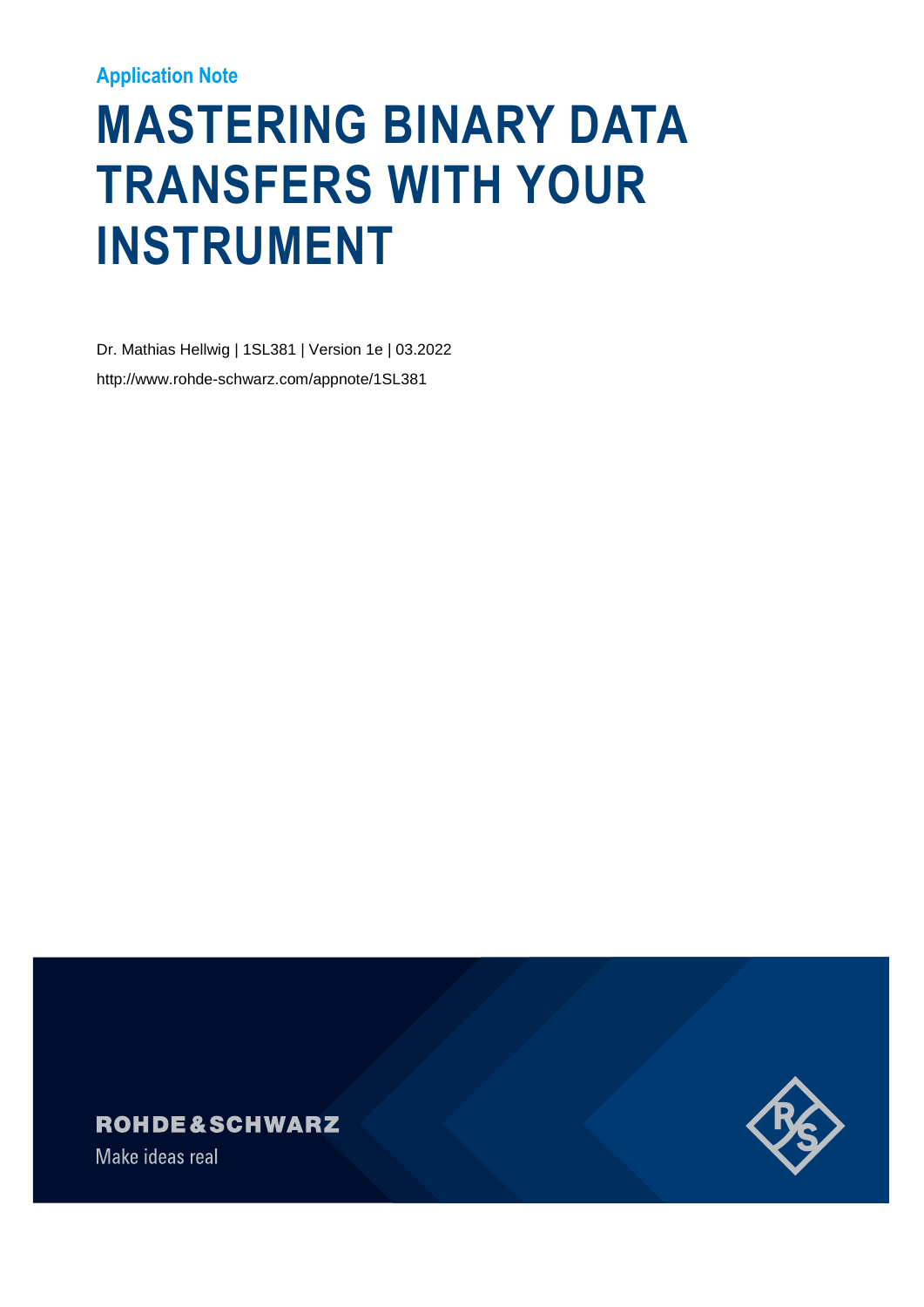#### **Application Note**

# **MASTERING BINARY DATA TRANSFERS WITH YOUR INSTRUMENT**

Dr. Mathias Hellwig | 1SL381 | Version 1e | 03.2022 http://www.rohde-schwarz.com/appnote/1SL381





Make ideas real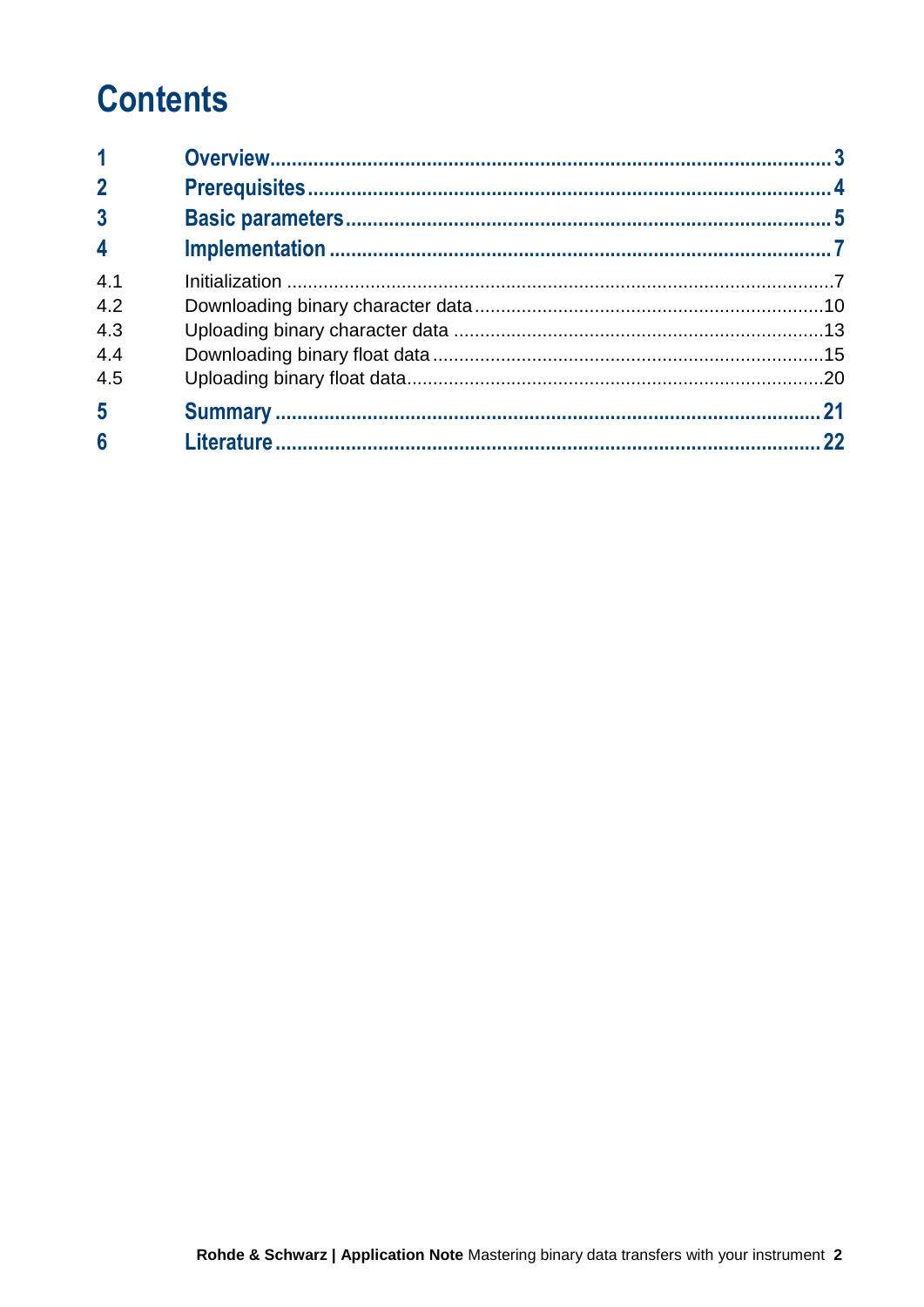## **Contents**

| $\mathbf 1$             |  |
|-------------------------|--|
| $\overline{2}$          |  |
| $\overline{3}$          |  |
| $\overline{\mathbf{4}}$ |  |
| 4.1                     |  |
| 4.2                     |  |
| 4.3                     |  |
| 4.4                     |  |
| 4.5                     |  |
| 5                       |  |
| $6\phantom{a}$          |  |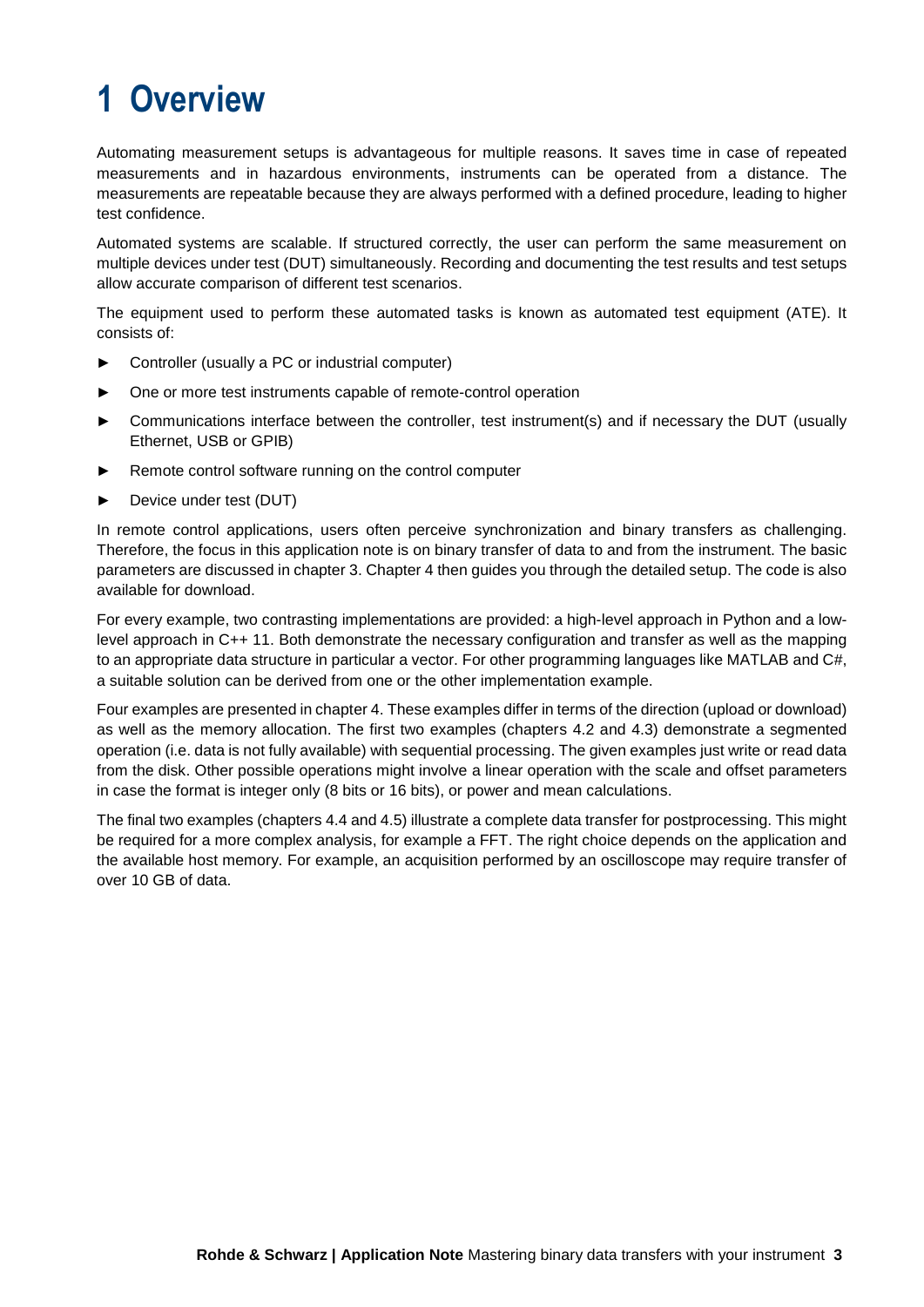### <span id="page-2-0"></span>**1 Overview**

Automating measurement setups is advantageous for multiple reasons. It saves time in case of repeated measurements and in hazardous environments, instruments can be operated from a distance. The measurements are repeatable because they are always performed with a defined procedure, leading to higher test confidence.

Automated systems are scalable. If structured correctly, the user can perform the same measurement on multiple devices under test (DUT) simultaneously. Recording and documenting the test results and test setups allow accurate comparison of different test scenarios.

The equipment used to perform these automated tasks is known as automated test equipment (ATE). It consists of:

- ► Controller (usually a PC or industrial computer)
- One or more test instruments capable of remote-control operation
- Communications interface between the controller, test instrument(s) and if necessary the DUT (usually Ethernet, USB or GPIB)
- ► Remote control software running on the control computer
- ► Device under test (DUT)

In remote control applications, users often perceive synchronization and binary transfers as challenging. Therefore, the focus in this application note is on binary transfer of data to and from the instrument. The basic parameters are discussed in chapter [3.](#page-4-0) Chapter [4](#page-6-0) then guides you through the detailed setup. The code is also available for download.

For every example, two contrasting implementations are provided: a high-level approach in Python and a lowlevel approach in C++ 11. Both demonstrate the necessary configuration and transfer as well as the mapping to an appropriate data structure in particular a vector. For other programming languages like MATLAB and C#, a suitable solution can be derived from one or the other implementation example.

Four examples are presented in chapter [4.](#page-6-0) These examples differ in terms of the direction (upload or download) as well as the memory allocation. The first two examples (chapters [4.2](#page-9-0) and [4.3\)](#page-12-0) demonstrate a segmented operation (i.e. data is not fully available) with sequential processing. The given examples just write or read data from the disk. Other possible operations might involve a linear operation with the scale and offset parameters in case the format is integer only (8 bits or 16 bits), or power and mean calculations.

The final two examples (chapters [4.4](#page-14-0) and [4.5\)](#page-19-0) illustrate a complete data transfer for postprocessing. This might be required for a more complex analysis, for example a FFT. The right choice depends on the application and the available host memory. For example, an acquisition performed by an oscilloscope may require transfer of over 10 GB of data.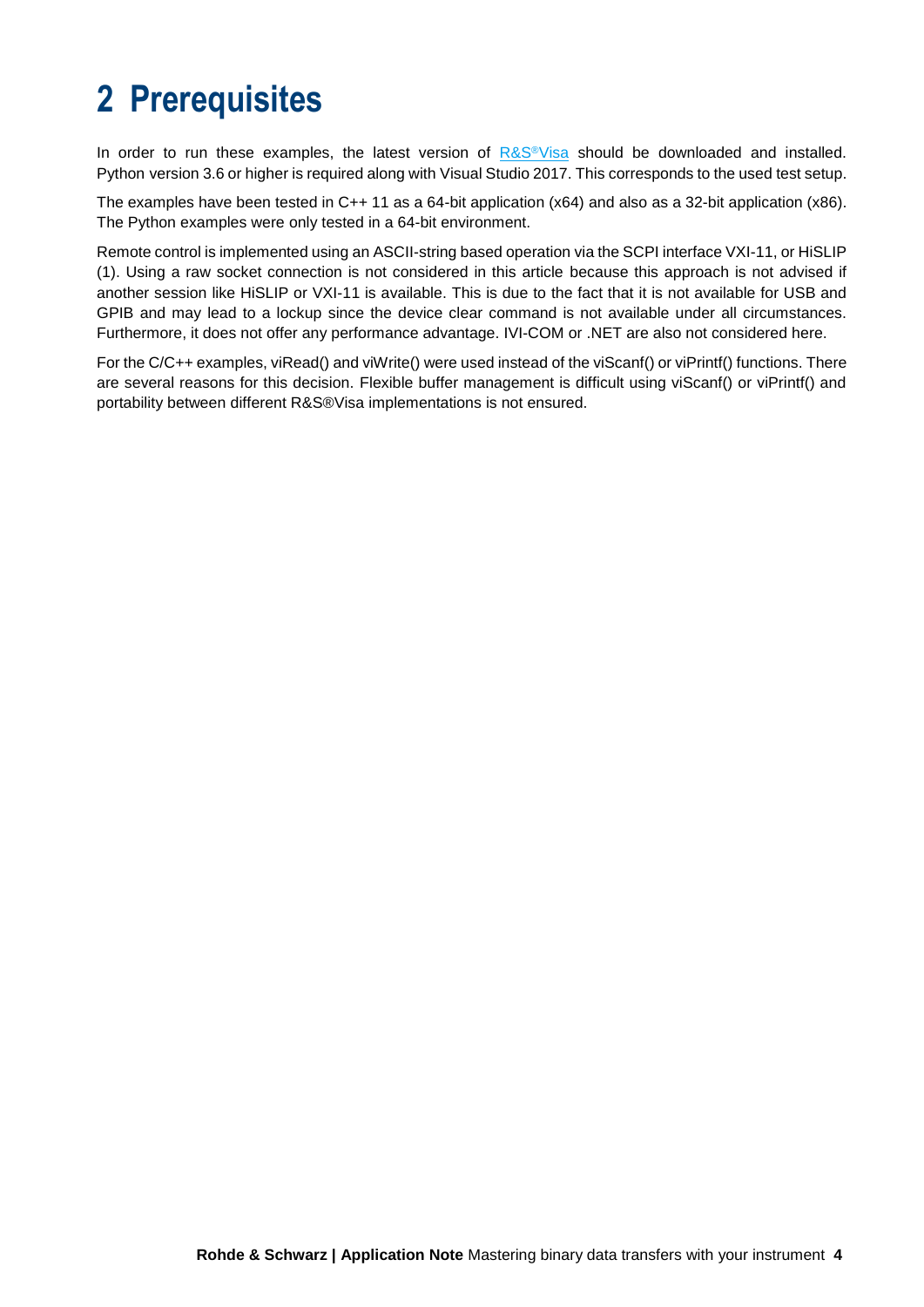### <span id="page-3-0"></span>**2 Prerequisites**

In order to run these examples, the latest version of [R&S](https://www.rohde-schwarz.com/de/applikationen/r-s-visa-application-note_56280-148812.html)<sup>®</sup>Visa should be downloaded and installed. Python version 3.6 or higher is required along with Visual Studio 2017. This corresponds to the used test setup.

The examples have been tested in C++ 11 as a 64-bit application (x64) and also as a 32-bit application (x86). The Python examples were only tested in a 64-bit environment.

Remote control is implemented using an ASCII-string based operation via the SCPI interface VXI-11, or HiSLIP (1). Using a raw socket connection is not considered in this article because this approach is not advised if another session like HiSLIP or VXI-11 is available. This is due to the fact that it is not available for USB and GPIB and may lead to a lockup since the device clear command is not available under all circumstances. Furthermore, it does not offer any performance advantage. IVI-COM or .NET are also not considered here.

For the C/C++ examples, viRead() and viWrite() were used instead of the viScanf() or viPrintf() functions. There are several reasons for this decision. Flexible buffer management is difficult using viScanf() or viPrintf() and portability between different R&S®Visa implementations is not ensured.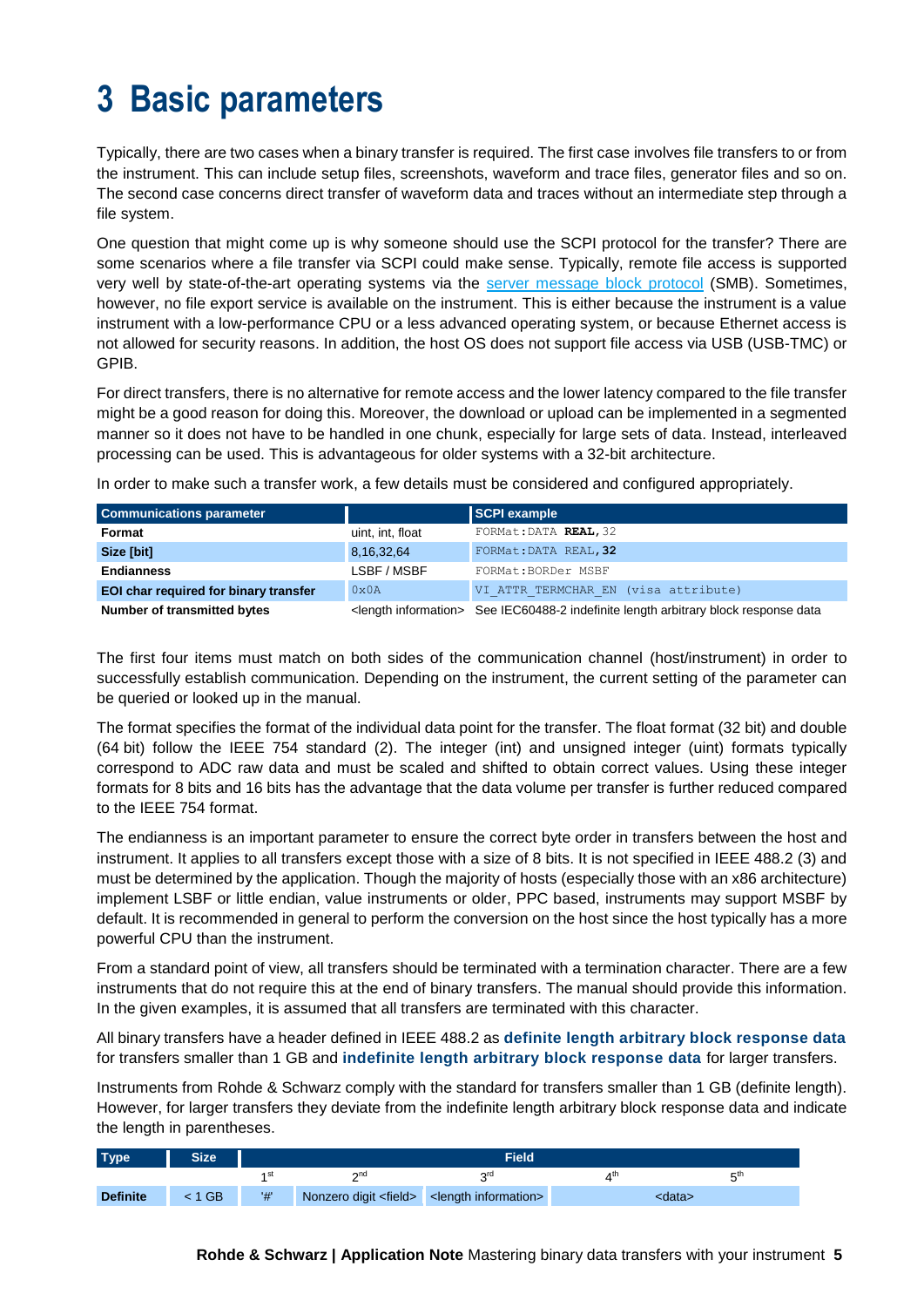### <span id="page-4-1"></span><span id="page-4-0"></span>**3 Basic parameters**

Typically, there are two cases when a binary transfer is required. The first case involves file transfers to or from the instrument. This can include setup files, screenshots, waveform and trace files, generator files and so on. The second case concerns direct transfer of waveform data and traces without an intermediate step through a file system.

One question that might come up is why someone should use the SCPI protocol for the transfer? There are some scenarios where a file transfer via SCPI could make sense. Typically, remote file access is supported very well by state-of-the-art operating systems via the [server message block protocol](https://en.wikipedia.org/wiki/Server_Message_Block) (SMB). Sometimes, however, no file export service is available on the instrument. This is either because the instrument is a value instrument with a low-performance CPU or a less advanced operating system, or because Ethernet access is not allowed for security reasons. In addition, the host OS does not support file access via USB (USB-TMC) or GPIB.

For direct transfers, there is no alternative for remote access and the lower latency compared to the file transfer might be a good reason for doing this. Moreover, the download or upload can be implemented in a segmented manner so it does not have to be handled in one chunk, especially for large sets of data. Instead, interleaved processing can be used. This is advantageous for older systems with a 32-bit architecture.

In order to make such a transfer work, a few details must be considered and configured appropriately.

| <b>Communications parameter</b>       |                  | SCPI example                                                                                    |  |
|---------------------------------------|------------------|-------------------------------------------------------------------------------------------------|--|
| Format                                | uint, int, float | FORMat: DATA REAL, 32                                                                           |  |
| Size [bit]                            | 8,16,32,64       | FORMat: DATA REAL, 32                                                                           |  |
| <b>Endianness</b>                     | LSBF / MSBF      | FORMat: BORDer MSBF                                                                             |  |
| EOI char required for binary transfer | $0 \times 0 A$   | VI ATTR TERMCHAR EN (visa attribute)                                                            |  |
| Number of transmitted bytes           |                  | <length information=""> See IEC60488-2 indefinite length arbitrary block response data</length> |  |

The first four items must match on both sides of the communication channel (host/instrument) in order to successfully establish communication. Depending on the instrument, the current setting of the parameter can be queried or looked up in the manual.

The format specifies the format of the individual data point for the transfer. The float format (32 bit) and double (64 bit) follow the IEEE 754 standard (2). The integer (int) and unsigned integer (uint) formats typically correspond to ADC raw data and must be scaled and shifted to obtain correct values. Using these integer formats for 8 bits and 16 bits has the advantage that the data volume per transfer is further reduced compared to the IEEE 754 format.

The endianness is an important parameter to ensure the correct byte order in transfers between the host and instrument. It applies to all transfers except those with a size of 8 bits. It is not specified in IEEE 488.2 (3) and must be determined by the application. Though the majority of hosts (especially those with an x86 architecture) implement LSBF or little endian, value instruments or older, PPC based, instruments may support MSBF by default. It is recommended in general to perform the conversion on the host since the host typically has a more powerful CPU than the instrument.

From a standard point of view, all transfers should be terminated with a termination character. There are a few instruments that do not require this at the end of binary transfers. The manual should provide this information. In the given examples, it is assumed that all transfers are terminated with this character.

All binary transfers have a header defined in IEEE 488.2 as **definite length arbitrary block response data** for transfers smaller than 1 GB and **indefinite length arbitrary block response data** for larger transfers.

Instruments from Rohde & Schwarz comply with the standard for transfers smaller than 1 GB (definite length). However, for larger transfers they deviate from the indefinite length arbitrary block response data and indicate the length in parentheses.

| Type <sup>1</sup> | <b>Size</b> |     |                                                                | <b>Field</b> |     |        |  |
|-------------------|-------------|-----|----------------------------------------------------------------|--------------|-----|--------|--|
|                   |             |     | <b>Ond</b>                                                     | ord          | ⊿th | cth    |  |
| <b>Definite</b>   | $1$ GB      | '#' | Nonzero digit <field> <length information=""></length></field> |              |     | :data> |  |

**Rohde & Schwarz | Application Note** Mastering binary data transfers with your instrument **5**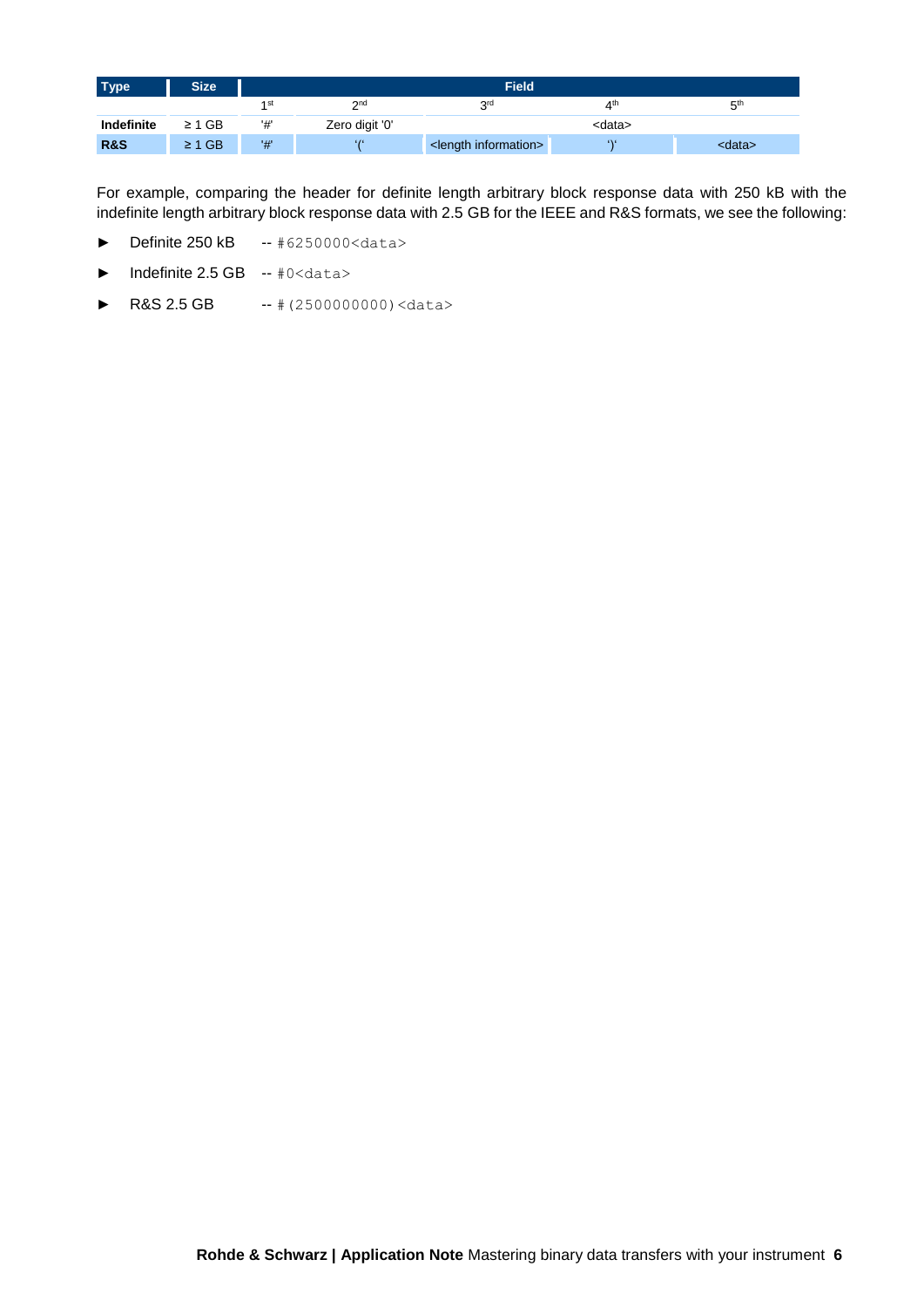| <b>Type</b>    | Size <sup>1</sup> | <b>Field</b> |                |                                  |                 |                 |
|----------------|-------------------|--------------|----------------|----------------------------------|-----------------|-----------------|
|                |                   | 1 st         | 2nd            | 2rd                              | 4 <sup>th</sup> | 5 <sup>th</sup> |
| Indefinite     | $\geq 1$ GB       | '#'          | Zero digit '0' |                                  | <data></data>   |                 |
| <b>R&amp;S</b> | $\geq 1$ GB       | '#'          | 616            | <length information=""></length> | 636             | <data></data>   |

For example, comparing the header for definite length arbitrary block response data with 250 kB with the indefinite length arbitrary block response data with 2.5 GB for the IEEE and R&S formats, we see the following:

- ► Definite 250 kB -- #6250000<data>
- ► Indefinite 2.5 GB -- #0<data>
- ► R&S 2.5 GB -- # (2500000000) <data>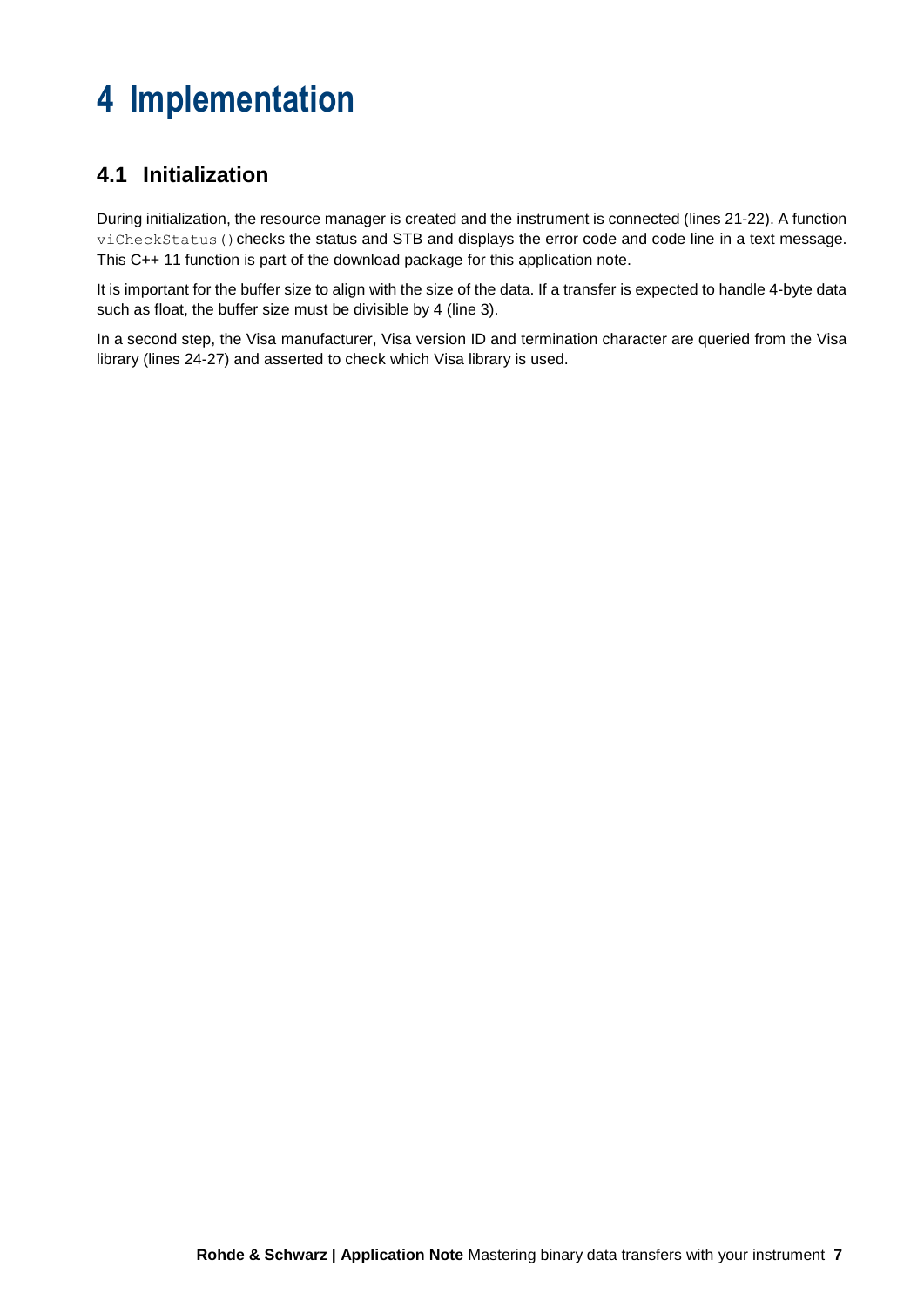### <span id="page-6-0"></span>**4 Implementation**

### <span id="page-6-1"></span>**4.1 Initialization**

During initialization, the resource manager is created and the instrument is connected (lines 21-22). A function viCheckStatus() checks the status and STB and displays the error code and code line in a text message. This C++ 11 function is part of the download package for this application note.

It is important for the buffer size to align with the size of the data. If a transfer is expected to handle 4-byte data such as float, the buffer size must be divisible by 4 (line 3).

In a second step, the Visa manufacturer, Visa version ID and termination character are queried from the Visa library (lines 24-27) and asserted to check which Visa library is used.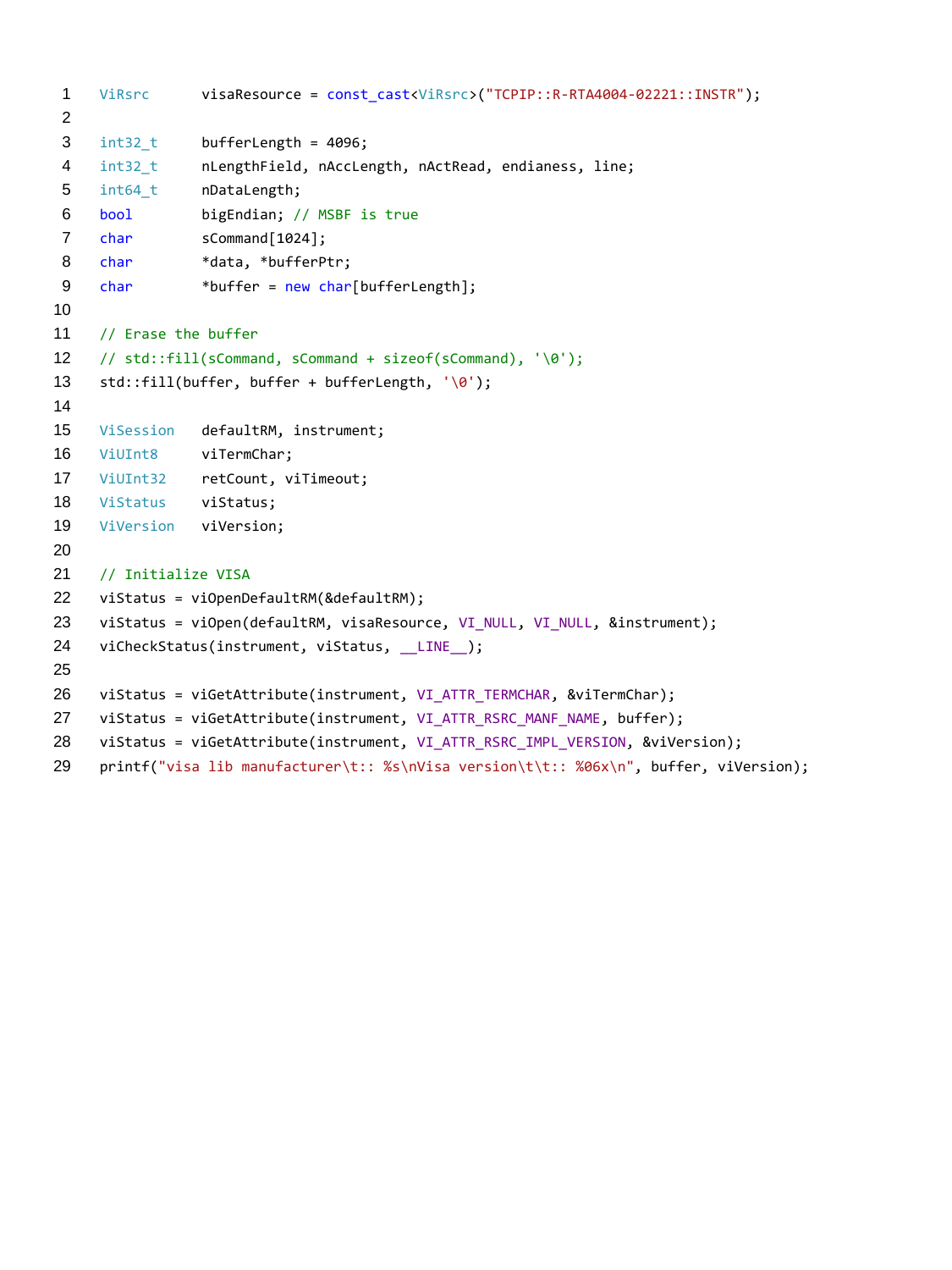```
1 ViRsrc visaResource = const_cast<ViRsrc>("TCPIP::R-RTA4004-02221::INSTR");
 2
 3 int32 t bufferLength = 4096;
 4 int32 t nLengthField, nAccLength, nActRead, endianess, line;
 5 int64 t nDataLength;
 6 bool bigEndian; // MSBF is true
 7 char sCommand[1024];
 8 char *data, *bufferPtr;
9 char *buffer = new char[bufferLength];
10
11 // Erase the buffer
12 // std::fill(sCommand, sCommand + sizeof(sCommand), '\0');
13 std::fill(buffer, buffer + bufferLength, '\0');
14
15 ViSession defaultRM, instrument;
16 ViUInt8 viTermChar;
17 ViUInt32 retCount, viTimeout;
18 ViStatus viStatus;
19 ViVersion viVersion;
20
21 // Initialize VISA
22 viStatus = viOpenDefaultRM(&defaultRM);
23 viStatus = viOpen(defaultRM, visaResource, VI_NULL, VI_NULL, &instrument);
24 viCheckStatus(instrument, viStatus, LINE );
25
26 viStatus = viGetAttribute(instrument, VI ATTR TERMCHAR, &viTermChar);
27 viStatus = viGetAttribute(instrument, VI ATTR RSRC MANF NAME, buffer);
28 viStatus = viGetAttribute(instrument, VI ATTR RSRC IMPL VERSION, &viVersion);
29 printf("visa lib manufacturer\t:: %s\nVisa version\t\t:: %06x\n", buffer, viVersion);
```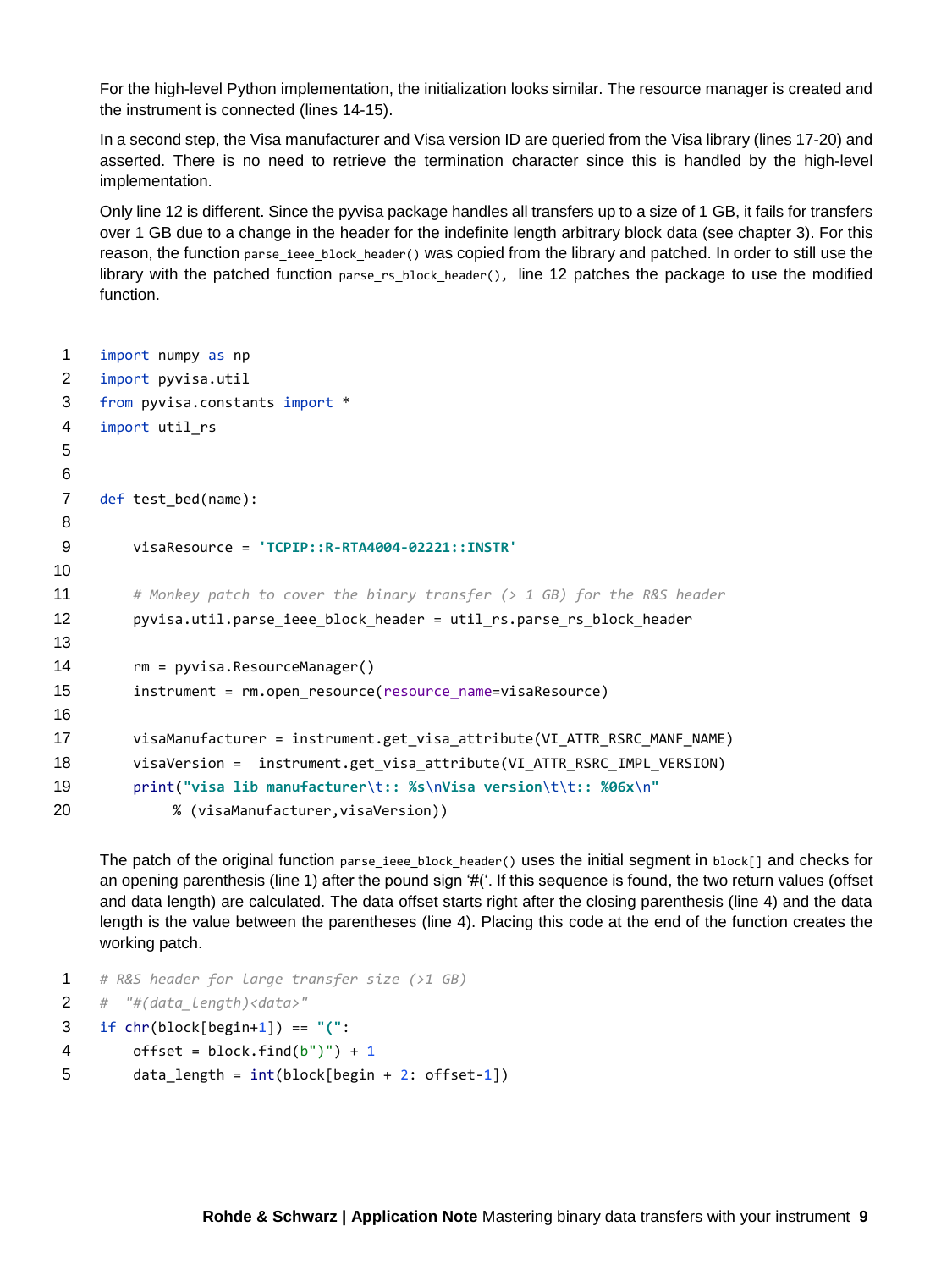For the high-level Python implementation, the initialization looks similar. The resource manager is created and the instrument is connected (lines 14-15).

In a second step, the Visa manufacturer and Visa version ID are queried from the Visa library (lines 17-20) and asserted. There is no need to retrieve the termination character since this is handled by the high-level implementation.

Only line 12 is different. Since the pyvisa package handles all transfers up to a size of 1 GB, it fails for transfers over 1 GB due to a change in the header for the indefinite length arbitrary block data (see chapter [3\)](#page-4-1). For this reason, the function parse ieee block header() was copied from the library and patched. In order to still use the library with the patched function parse rs block header(), line 12 patches the package to use the modified function.

```
1 import numpy as np
2 import pyvisa.util
3 from pyvisa.constants import *
4 import util_rs
5
6
7 def test_bed(name):
8
9 visaResource = 'TCPIP::R-RTA4004-02221::INSTR'
10
11 # Monkey patch to cover the binary transfer (> 1 GB) for the R&S header
12 pyvisa.util.parse ieee block header = util rs.parse rs block header
13
14 rm = pyvisa.ResourceManager()
15 instrument = rm.open resource(resource name=visaResource)
16
17 visaManufacturer = instrument.get visa attribute(VI ATTR RSRC MANF NAME)
18 visaVersion = instrument.get visa attribute(VI ATTR RSRC IMPL VERSION)
19 print("visa lib manufacturer\t:: %s\nVisa version\t\t:: %06x\n"
20 % (visaManufacturer,visaVersion))
```
The patch of the original function parse\_ieee\_block\_header() uses the initial segment in block[] and checks for an opening parenthesis (line 1) after the pound sign '#('. If this sequence is found, the two return values (offset and data length) are calculated. The data offset starts right after the closing parenthesis (line 4) and the data length is the value between the parentheses (line 4). Placing this code at the end of the function creates the working patch.

```
1 # R&S header for large transfer size (>1 GB)
```

```
2 # "#(data_length)<data>"
```

```
3 if chr(block[begin+1]) == "(":
```

```
4 offset = block.find(b")") + 1
```

```
5 data length = int(block[begin + 2: offset-1])
```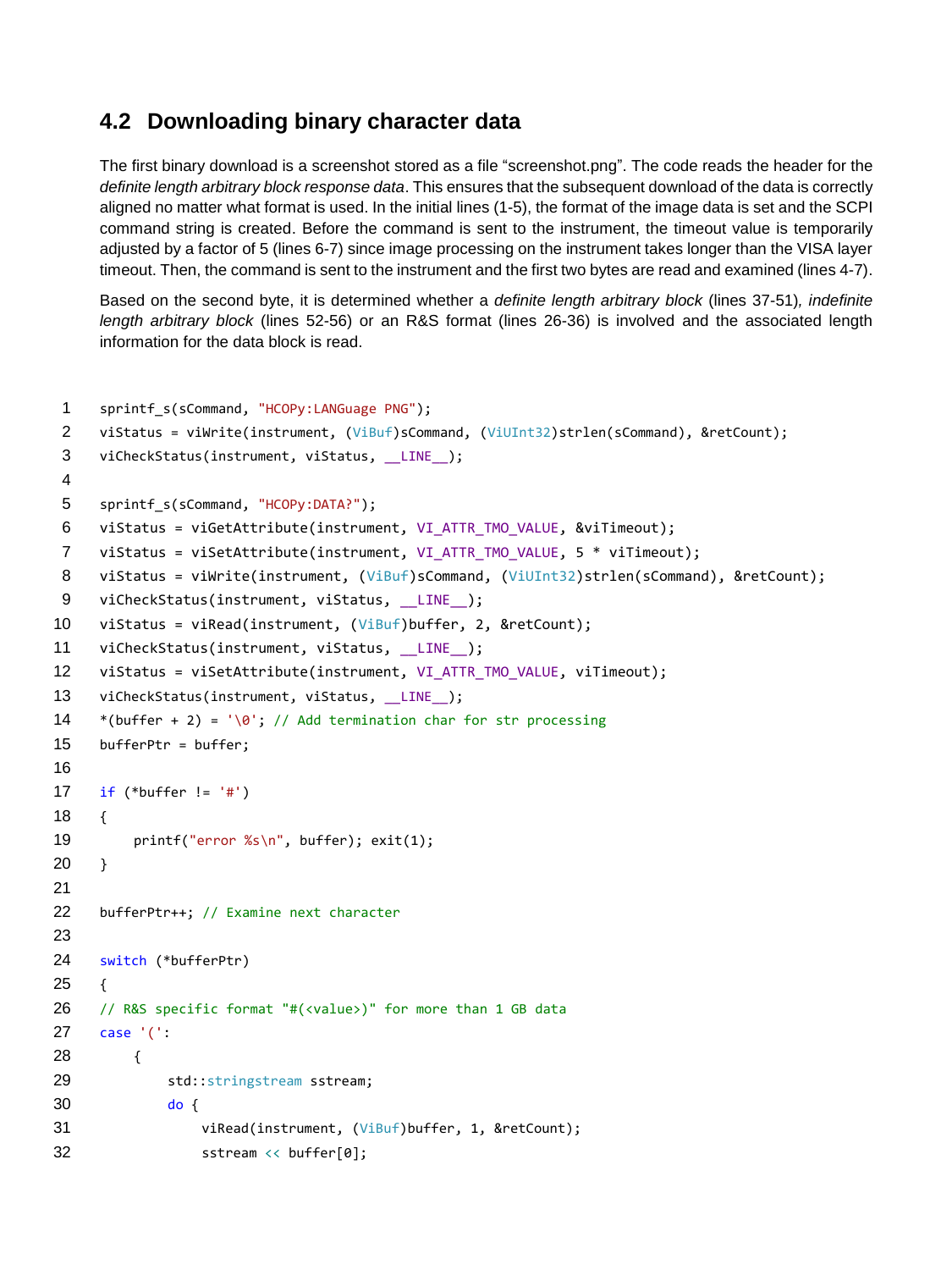#### <span id="page-9-1"></span>**4.2 Downloading binary character data**

<span id="page-9-0"></span>The first binary download is a screenshot stored as a file "screenshot.png". The code reads the header for the *definite length arbitrary block response data*. This ensures that the subsequent download of the data is correctly aligned no matter what format is used. In the initial lines (1-5), the format of the image data is set and the SCPI command string is created. Before the command is sent to the instrument, the timeout value is temporarily adjusted by a factor of 5 (lines 6-7) since image processing on the instrument takes longer than the VISA layer timeout. Then, the command is sent to the instrument and the first two bytes are read and examined (lines 4-7).

Based on the second byte, it is determined whether a *definite length arbitrary block* (lines 37-51)*, indefinite length arbitrary block* (lines 52-56) or an R&S format (lines 26-36) is involved and the associated length information for the data block is read.

```
1 sprintf s(sCommand, "HCOPy:LANGuage PNG");
2 viStatus = viWrite(instrument, (ViBuf)sCommand, (ViUInt32)strlen(sCommand), &retCount); 
 3 viCheckStatus(instrument, viStatus, LINE_);
 4
5 sprintf_s(sCommand, "HCOPy:DATA?");
 6 viStatus = viGetAttribute(instrument, VI_ATTR_TMO_VALUE, &viTimeout);
7 viStatus = viSetAttribute(instrument, VI_ATTR_TMO_VALUE, 5 * viTimeout);
8 viStatus = viWrite(instrument, (ViBuf)sCommand, (ViUInt32)strlen(sCommand), &retCount); 
9 viCheckStatus(instrument, viStatus, LINE_);
10 viStatus = viRead(instrument, (ViBuf)buffer, 2, &retCount); 
11 viCheckStatus(instrument, viStatus, _LINE_);
12 viStatus = viSetAttribute(instrument, VI_ATTR_TMO_VALUE, viTimeout);
13 viCheckStatus(instrument, viStatus, __LINE__);
14 *(buffer + 2) = \sqrt{0}; // Add termination char for str processing
15 bufferPtr = buffer;
16
17 if (*buffer != '#')
18 {
19 printf("error %s\n", buffer); exit(1);
20 \rightarrow21
22 bufferPtr++; // Examine next character
23
24 switch (*bufferPtr)
25 {
26 // R&S specific format "#(<value>)" for more than 1 GB data
27 case '(':
28 {
29 std::stringstream sstream;
30 do {
31 viRead(instrument, (ViBuf)buffer, 1, &retCount);
32 sstream << buffer[0];
```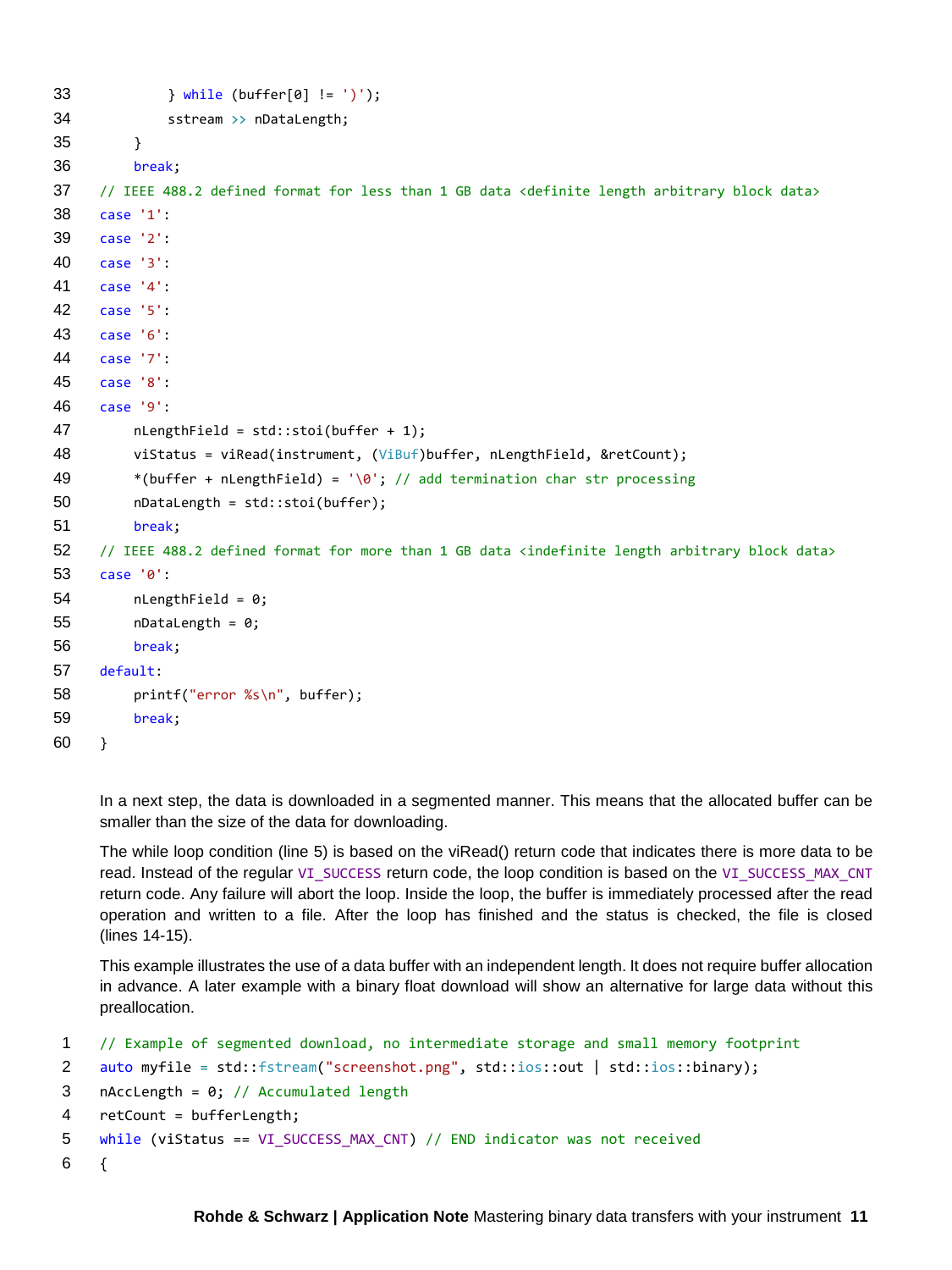```
33 } while (buffer[0] != ')');
34 sstream >> nDataLength;
35 }
36 break;
37 // IEEE 488.2 defined format for less than 1 GB data <definite length arbitrary block data> 
38 case '1':
39 case '2':
40 case '3':
41 case '4':
42 case '5':
43 case '6':
44 case '7':
45 case '8':
46 case '9':
47 nLengthField = std::stoi(buffer + 1);
48 viStatus = viRead(instrument, (ViBuf)buffer, nLengthField, &retCount);
49 *(buffer + nLengthField) = \sqrt{0}; // add termination char str processing
50 nDataLength = std::stoi(buffer);
51 break;
52 // IEEE 488.2 defined format for more than 1 GB data <indefinite length arbitrary block data>
53 case '0':
54 nLengthField = 0;
55 nDataLength = 0;
56 break;
57 default:
58 printf("error %s\n", buffer);
59 break;
60 }
```
In a next step, the data is downloaded in a segmented manner. This means that the allocated buffer can be smaller than the size of the data for downloading.

The while loop condition (line 5) is based on the viRead() return code that indicates there is more data to be read. Instead of the regular VI\_SUCCESS return code, the loop condition is based on the VI\_SUCCESS\_MAX\_CNT return code. Any failure will abort the loop. Inside the loop, the buffer is immediately processed after the read operation and written to a file. After the loop has finished and the status is checked, the file is closed (lines 14-15).

This example illustrates the use of a data buffer with an independent length. It does not require buffer allocation in advance. A later example with a binary float download will show an alternative for large data without this preallocation.

```
1 // Example of segmented download, no intermediate storage and small memory footprint
2 auto myfile = std::fstream("screenshot.png", std::ios::out | std::ios::binary);
3 nAccLength = 0; // Accumulated length
4 retCount = bufferLength;
5 while (viStatus == VI_SUCCESS_MAX_CNT) // END indicator was not received
6 {
```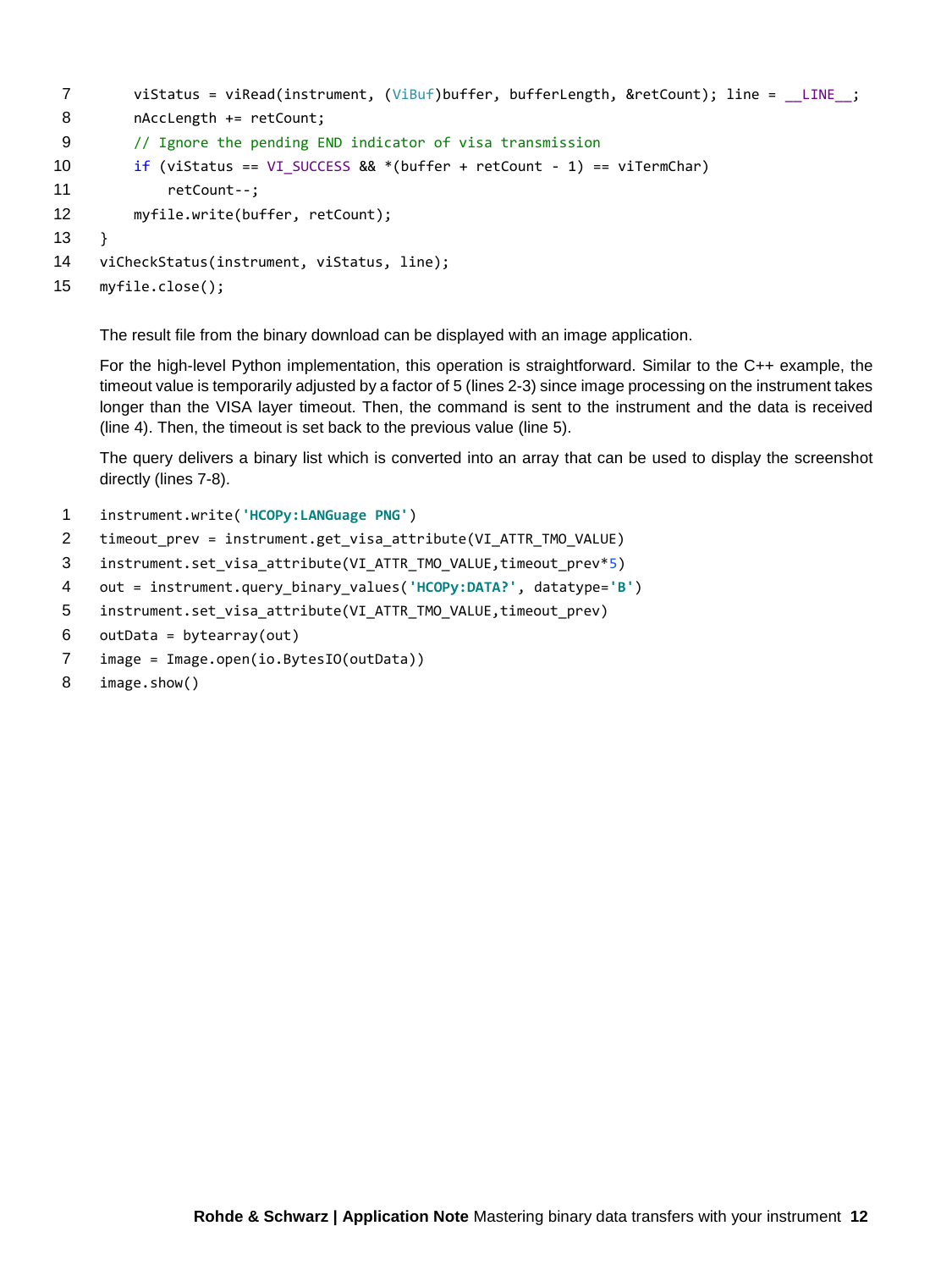```
7 viStatus = viRead(instrument, (ViBuf)buffer, bufferLength, &retCount); line = LINE ;
8 nAccLength += retCount;
9 // Ignore the pending END indicator of visa transmission 
10 if (viStatus == VI SUCCESS && *(buffer + retCount - 1) == viTermChar)
11 retCount--;
12 myfile.write(buffer, retCount);
13 }
14 viCheckStatus(instrument, viStatus, line);
15 myfile.close();
```
The result file from the binary download can be displayed with an image application.

For the high-level Python implementation, this operation is straightforward. Similar to the C++ example, the timeout value is temporarily adjusted by a factor of 5 (lines 2-3) since image processing on the instrument takes longer than the VISA layer timeout. Then, the command is sent to the instrument and the data is received (line 4). Then, the timeout is set back to the previous value (line 5).

The query delivers a binary list which is converted into an array that can be used to display the screenshot directly (lines 7-8).

- 1 instrument.write(**'HCOPy:LANGuage PNG'**)
- 2 timeout\_prev = instrument.get\_visa\_attribute(VI\_ATTR\_TMO\_VALUE)
- 3 instrument.set\_visa\_attribute(VI\_ATTR\_TMO\_VALUE,timeout\_prev\*5)
- 4 out = instrument.query\_binary\_values(**'HCOPy:DATA?'**, datatype=**'B'**)
- 5 instrument.set\_visa\_attribute(VI\_ATTR\_TMO\_VALUE,timeout\_prev)
- $6$  outData = bytearray(out)
- 7 image = Image.open(io.BytesIO(outData))
- 8 image.show()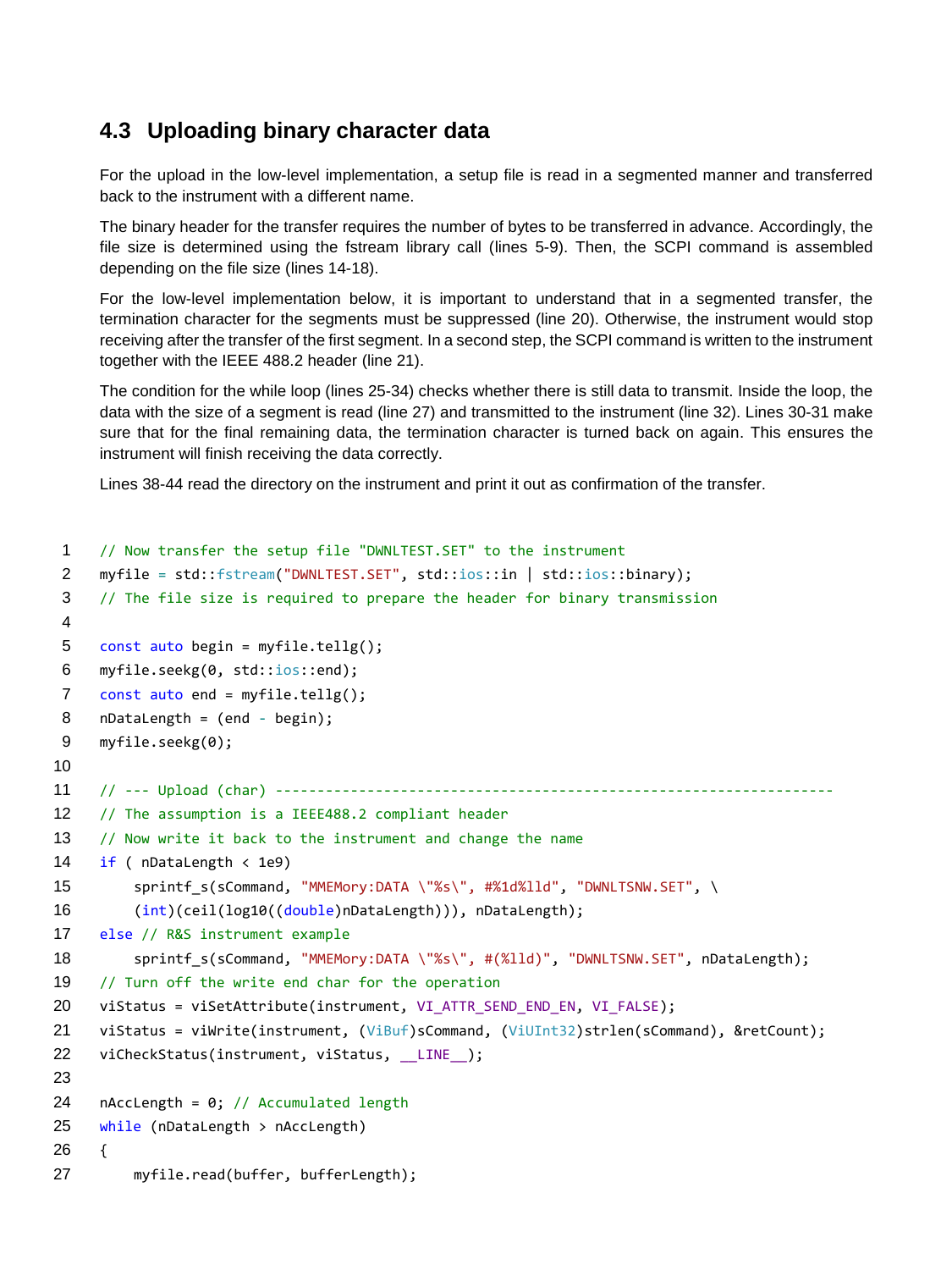#### **4.3 Uploading binary character data**

<span id="page-12-0"></span>For the upload in the low-level implementation, a setup file is read in a segmented manner and transferred back to the instrument with a different name.

The binary header for the transfer requires the number of bytes to be transferred in advance. Accordingly, the file size is determined using the fstream library call (lines 5-9). Then, the SCPI command is assembled depending on the file size (lines 14-18).

For the low-level implementation below, it is important to understand that in a segmented transfer, the termination character for the segments must be suppressed (line 20). Otherwise, the instrument would stop receiving after the transfer of the first segment. In a second step, the SCPI command is written to the instrument together with the IEEE 488.2 header (line 21).

The condition for the while loop (lines 25-34) checks whether there is still data to transmit. Inside the loop, the data with the size of a segment is read (line 27) and transmitted to the instrument (line 32). Lines 30-31 make sure that for the final remaining data, the termination character is turned back on again. This ensures the instrument will finish receiving the data correctly.

Lines 38-44 read the directory on the instrument and print it out as confirmation of the transfer.

```
1 // Now transfer the setup file "DWNLTEST.SET" to the instrument
2 myfile = std::fstream("DWNLTEST.SET", std::ios::in | std::ios::binary);
 3 // The file size is required to prepare the header for binary transmission
 4
5 const auto begin = myfile.tellg();
6 myfile.seekg(0, std::ios::end);
7 const auto end = myfile.tellg();
8 nDataLength = (end - begin);
9 myfile.seekg(0);
10
11 // --- Upload (char) -------------------------------------------------------------------
12 // The assumption is a IEEE488.2 compliant header
13 // Now write it back to the instrument and change the name
14 if (nDatalength <math>\langle 1e9 \rangle)15 sprintf s(sCommand, "MMEMory:DATA \"%s\", #%1d%lld", "DWNLTSNW.SET", \
16 (int)(ceil(log10((double)nDataLength))), nDataLength);
17 else // R&S instrument example
18 sprintf s(sCommand, "MMEMory:DATA \"%s\", #(%lld)", "DWNLTSNW.SET", nDataLength);
19 // Turn off the write end char for the operation 
20 viStatus = viSetAttribute(instrument, VI ATTR SEND END EN, VI FALSE);
21 viStatus = viWrite(instrument, (ViBuf)sCommand, (ViUInt32)strlen(sCommand), &retCount); 
22 viCheckStatus(instrument, viStatus, __LINE__);
23
24 nAccLength = 0; // Accumulated length
25 while (nDataLength > nAccLength)
26 {
27 myfile.read(buffer, bufferLength);
```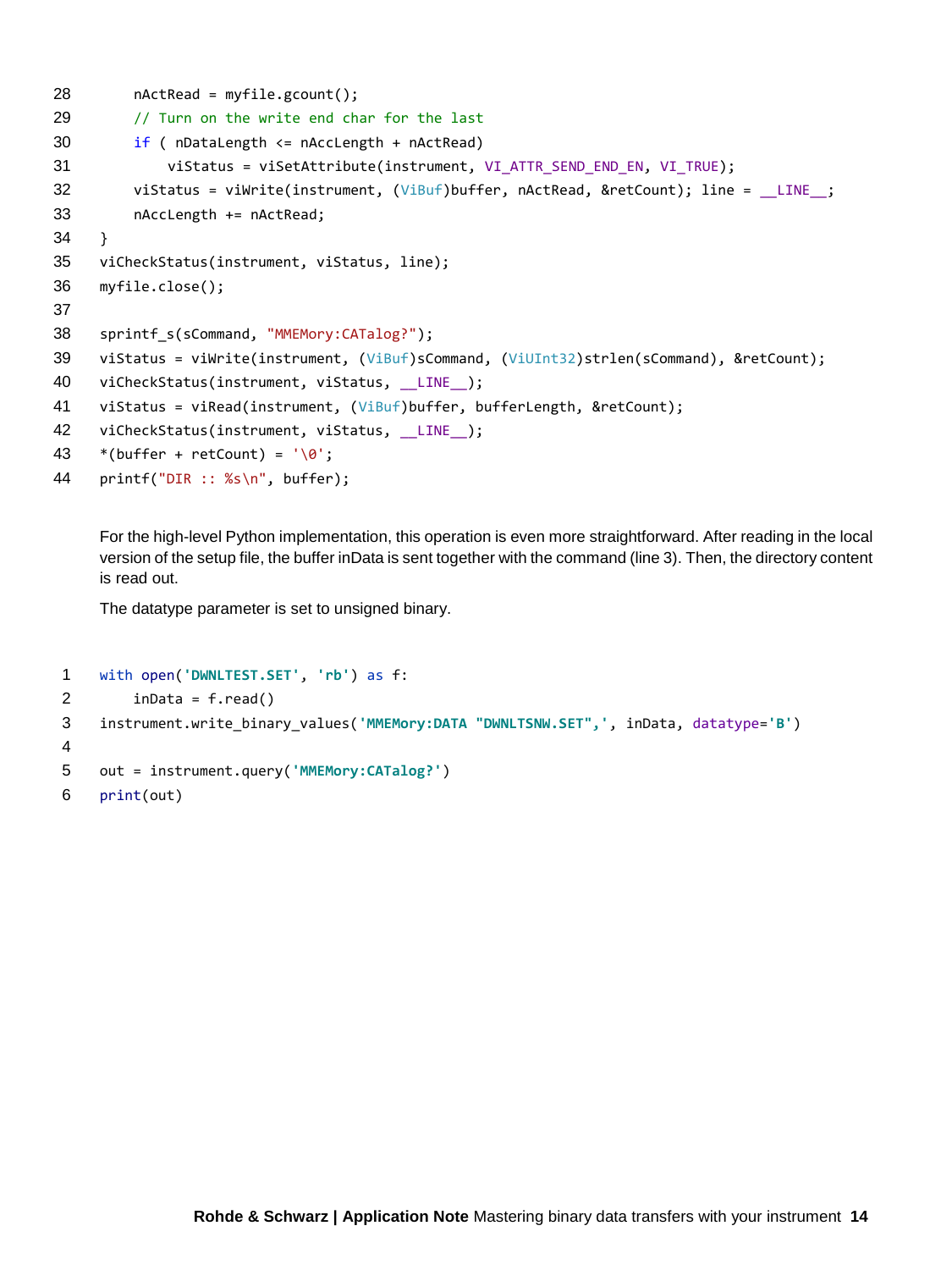```
28 nActRead = myfile.gcount();
29 // Turn on the write end char for the last
30 if ( nDataLength <= nAccLength + nActRead)
31 viStatus = viSetAttribute(instrument, VI_ATTR_SEND_END_EN, VI_TRUE);
32 viStatus = viWrite(instrument, (ViBuf)buffer, nActRead, &retCount); line = LINE ;
33 nAccLength += nActRead;
34 }
35 viCheckStatus(instrument, viStatus, line);
36 myfile.close();
37
38 sprintf s(sCommand, "MMEMory:CATalog?");
39 viStatus = viWrite(instrument, (ViBuf)sCommand, (ViUInt32)strlen(sCommand), &retCount); 
40 viCheckStatus(instrument, viStatus, LINE );
41 viStatus = viRead(instrument, (ViBuf)buffer, bufferLength, &retCount);
42 viCheckStatus(instrument, viStatus, LINE );
43 *(buffer + retCount) = '\0';44 printf("DIR :: %s\n", buffer);
```
For the high-level Python implementation, this operation is even more straightforward. After reading in the local version of the setup file, the buffer inData is sent together with the command (line 3). Then, the directory content is read out.

The datatype parameter is set to unsigned binary.

```
1 with open('DWNLTEST.SET', 'rb') as f:
2 inData = f.read()
3 instrument.write_binary_values('MMEMory:DATA "DWNLTSNW.SET",', inData, datatype='B')
4
5 out = instrument.query('MMEMory:CATalog?')
6 print(out)
```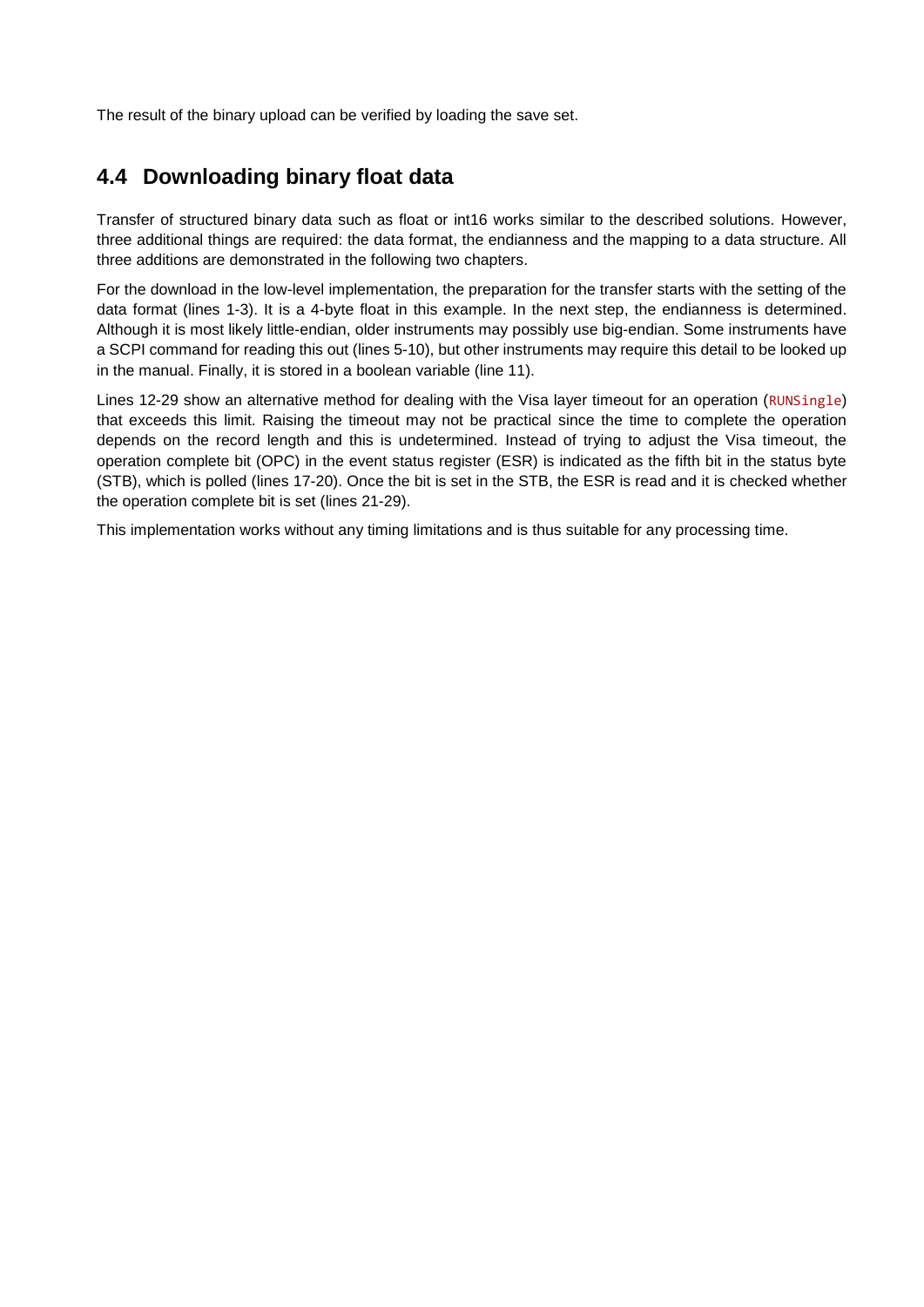The result of the binary upload can be verified by loading the save set.

#### <span id="page-14-0"></span>**4.4 Downloading binary float data**

Transfer of structured binary data such as float or int16 works similar to the described solutions. However, three additional things are required: the data format, the endianness and the mapping to a data structure. All three additions are demonstrated in the following two chapters.

For the download in the low-level implementation, the preparation for the transfer starts with the setting of the data format (lines 1-3). It is a 4-byte float in this example. In the next step, the endianness is determined. Although it is most likely little-endian, older instruments may possibly use big-endian. Some instruments have a SCPI command for reading this out (lines 5-10), but other instruments may require this detail to be looked up in the manual. Finally, it is stored in a boolean variable (line 11).

Lines 12-29 show an alternative method for dealing with the Visa layer timeout for an operation (RUNSingle) that exceeds this limit. Raising the timeout may not be practical since the time to complete the operation depends on the record length and this is undetermined. Instead of trying to adjust the Visa timeout, the operation complete bit (OPC) in the event status register (ESR) is indicated as the fifth bit in the status byte (STB), which is polled (lines 17-20). Once the bit is set in the STB, the ESR is read and it is checked whether the operation complete bit is set (lines 21-29).

This implementation works without any timing limitations and is thus suitable for any processing time.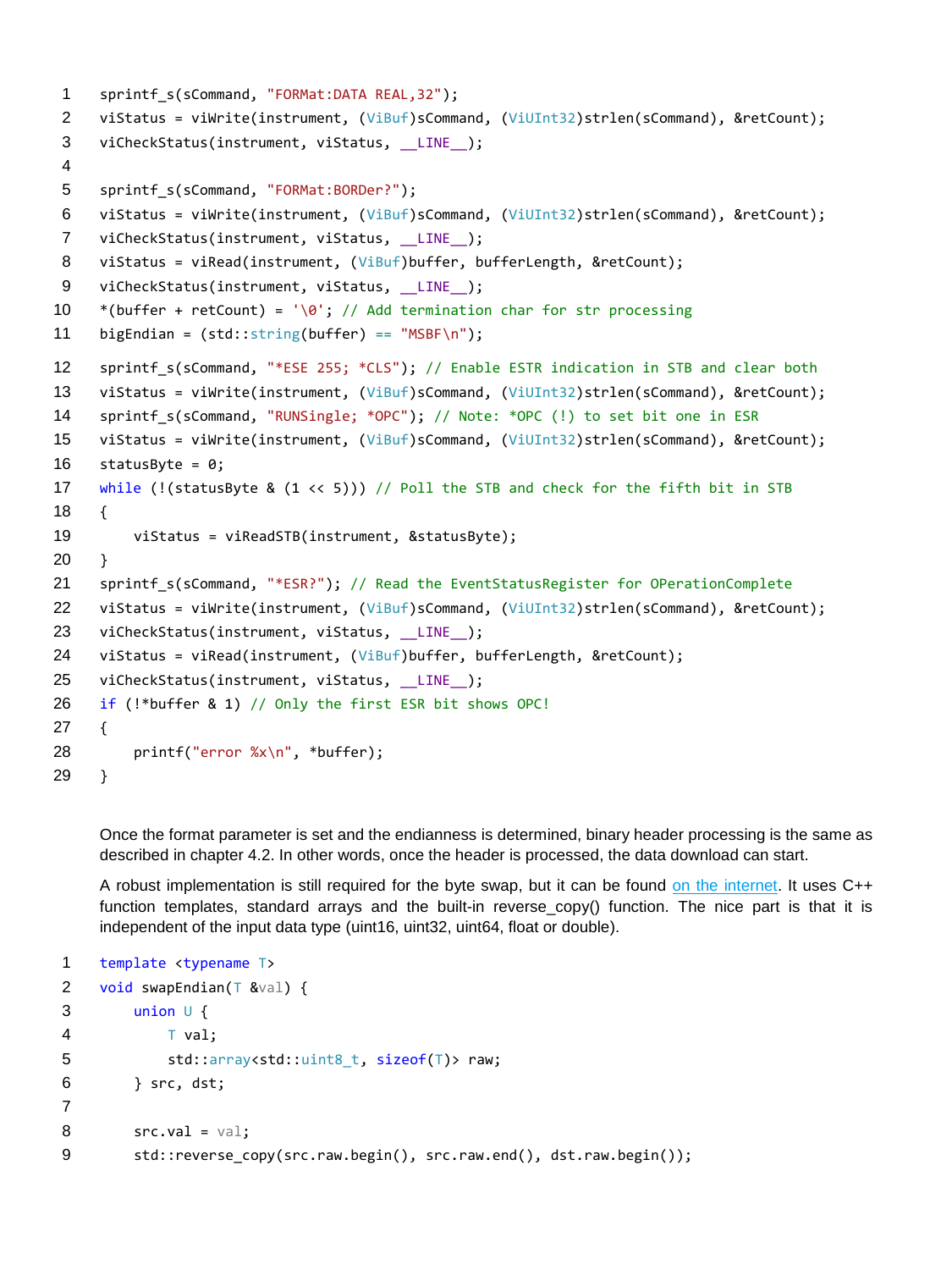```
1 sprintf s(sCommand, "FORMat:DATA REAL,32");
2 viStatus = viWrite(instrument, (ViBuf)sCommand, (ViUInt32)strlen(sCommand), &retCount);
3 viCheckStatus(instrument, viStatus, LINE );
4
5 sprintf_s(sCommand, "FORMat:BORDer?");
6 viStatus = viWrite(instrument, (ViBuf)sCommand, (ViUInt32)strlen(sCommand), &retCount);
7 viCheckStatus(instrument, viStatus, LINE );
8 viStatus = viRead(instrument, (ViBuf)buffer, bufferLength, &retCount);
9 viCheckStatus(instrument, viStatus, LINE );
10 *(buffer + retCount) = '\0; // Add termination char for str processing
11 bigEndian = (std::string(buffer) == "MSBF\n");12 sprintf s(sCommand, "*ESE 255; *CLS"); // Enable ESTR indication in STB and clear both
13 viStatus = viWrite(instrument, (ViBuf)sCommand, (ViUInt32)strlen(sCommand), &retCount);
14 sprintf_s(sCommand, "RUNSingle; *OPC"); // Note: *OPC (!) to set bit one in ESR
15 viStatus = viWrite(instrument, (ViBuf)sCommand, (ViUInt32)strlen(sCommand), &retCount);
16 statusByte = 0;
17 while (!(statusByte & (1 << 5))) // Poll the STB and check for the fifth bit in STB
18 {
19 viStatus = viReadSTB(instrument, &statusByte);
20 }
21 sprintf s(sCommand, "*ESR?"); // Read the EventStatusRegister for OPerationComplete
22 viStatus = viWrite(instrument, (ViBuf)sCommand, (ViUInt32)strlen(sCommand), &retCount);
23 viCheckStatus(instrument, viStatus, LINE );
24 viStatus = viRead(instrument, (ViBuf)buffer, bufferLength, &retCount);
25 viCheckStatus(instrument, viStatus, __LINE__);
26 if (!*buffer & 1) // Only the first ESR bit shows OPC!
27 {
28 printf("error %x\n", *buffer);
29 }
```
Once the format parameter is set and the endianness is determined, binary header processing is the same as described in chapter [4.2.](#page-9-1) In other words, once the header is processed, the data download can start.

A robust implementation is still required for the byte swap, but it can be found [on the internet.](https://mklimenko.github.io/english/2018/08/22/robust-endian-swap/) It uses C++ function templates, standard arrays and the built-in reverse\_copy() function. The nice part is that it is independent of the input data type (uint16, uint32, uint64, float or double).

```
1 template <typename T>
2 void swapEndian(T &val) {
3 union U {
4 T val;
5 std::array<std::uint8_t, sizeof(T)> raw;
6 } src, dst;
7
8 \quad \text{src.val} = \text{val};9 std::reverse_copy(src.raw.begin(), src.raw.end(), dst.raw.begin());
```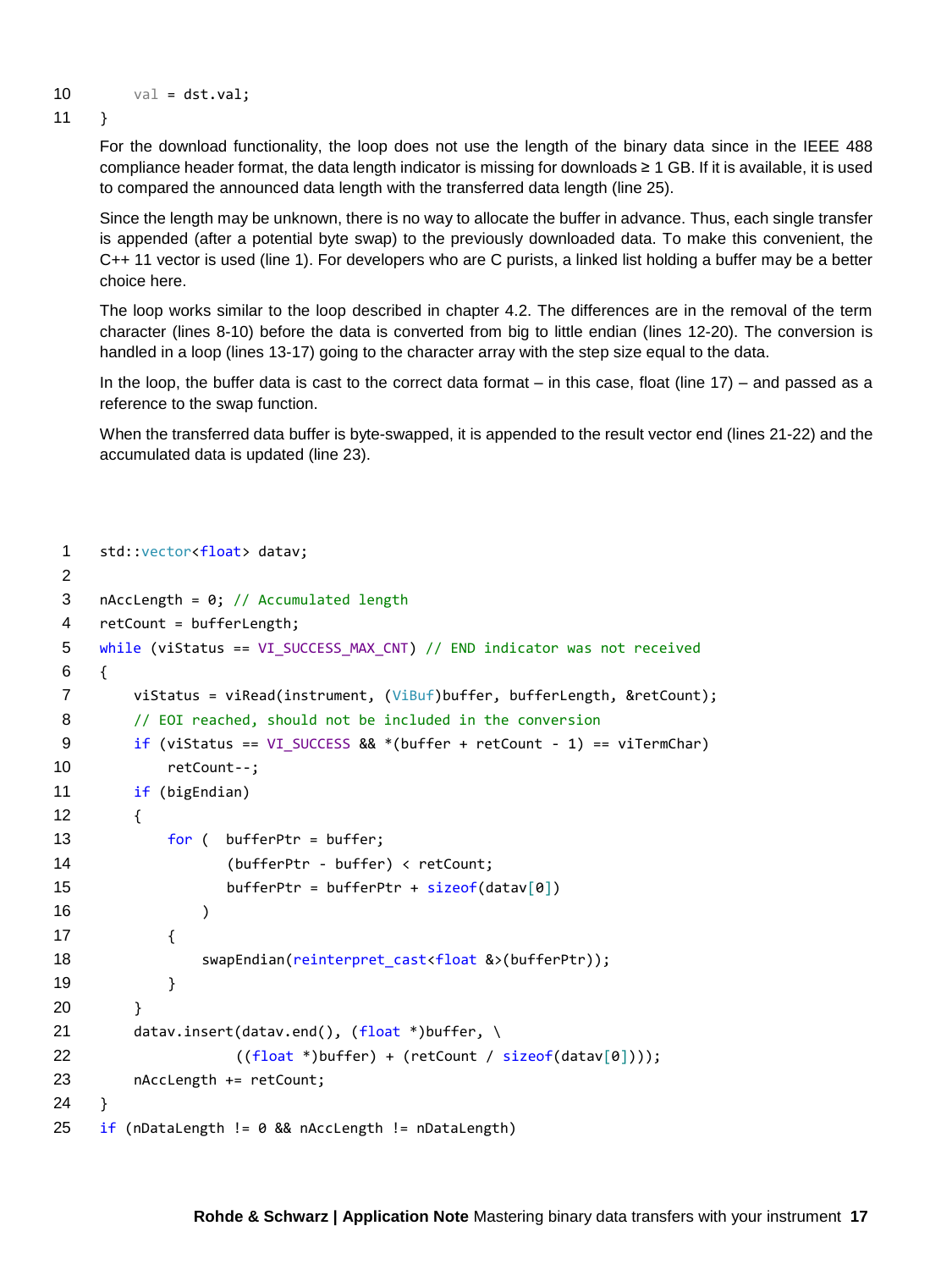```
10 val = dst.val;
```
11 }

For the download functionality, the loop does not use the length of the binary data since in the IEEE 488 compliance header format, the data length indicator is missing for downloads ≥ 1 GB. If it is available, it is used to compared the announced data length with the transferred data length (line 25).

Since the length may be unknown, there is no way to allocate the buffer in advance. Thus, each single transfer is appended (after a potential byte swap) to the previously downloaded data. To make this convenient, the C++ 11 vector is used (line 1). For developers who are C purists, a linked list holding a buffer may be a better choice here.

The loop works similar to the loop described in chapter [4.2.](#page-9-1) The differences are in the removal of the term character (lines 8-10) before the data is converted from big to little endian (lines 12-20). The conversion is handled in a loop (lines 13-17) going to the character array with the step size equal to the data.

In the loop, the buffer data is cast to the correct data format – in this case, float (line 17) – and passed as a reference to the swap function.

When the transferred data buffer is byte-swapped, it is appended to the result vector end (lines 21-22) and the accumulated data is updated (line 23).

```
1 std::vector<float> datav;
2
3 nAccLength = 0; // Accumulated length
4 retCount = bufferLength;
5 while (viStatus == VI_SUCCESS_MAX_CNT) // END indicator was not received
6 {
7 viStatus = viRead(instrument, (ViBuf)buffer, bufferLength, &retCount);
8 // EOI reached, should not be included in the conversion
9 if (viStatus == VI SUCCESS &8.4 *(buffer + retCount - 1) == viTermChar)
10 retCount--;
11 if (bigEndian)
12 {
13 for ( bufferPtr = buffer;
14 (bufferPtr - buffer) < retCount;
15 bufferPtr = bufferPtr + sizeof(data\[0])16 )
17 \{18 swapEndian(reinterpret_cast<float &>(bufferPtr));
19 }
20 }
21 datav.insert(datav.end(), (float *)buffer, \
22 ((float *)buffer) + (retCount / sizeof(datav[0])));
23 nAccLength += retCount;
24 }
25 if (nDataLength != 0 && nAccLength != nDataLength)
```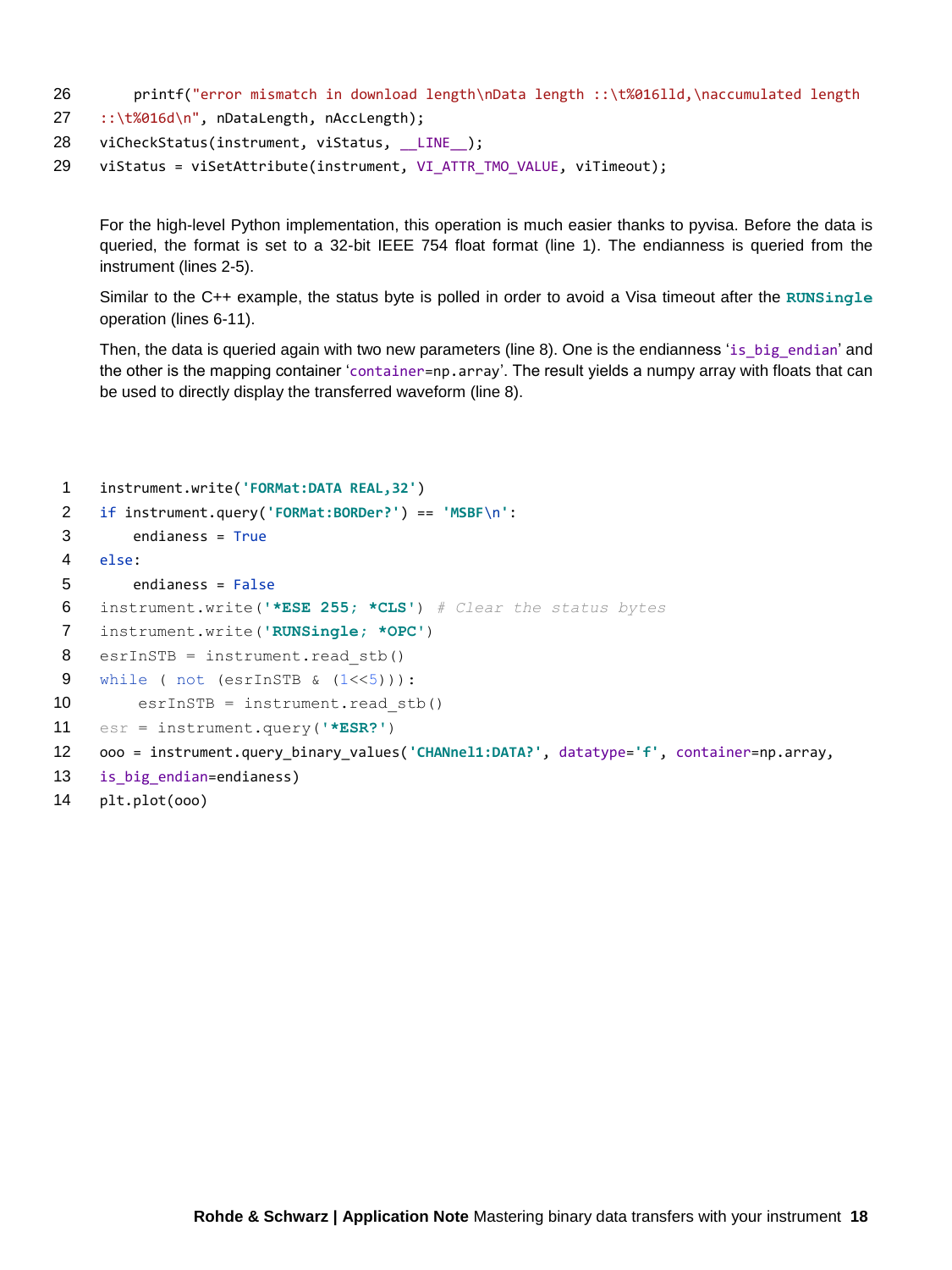- 26 printf("error mismatch in download length\nData length ::\t%016lld,\naccumulated length
- 27 ::\t%016d\n", nDataLength, nAccLength);
- 28 viCheckStatus(instrument, viStatus, LINE );
- 29 viStatus = viSetAttribute(instrument, VI\_ATTR\_TMO\_VALUE, viTimeout);

For the high-level Python implementation, this operation is much easier thanks to pyvisa. Before the data is queried, the format is set to a 32-bit IEEE 754 float format (line 1). The endianness is queried from the instrument (lines 2-5).

Similar to the C++ example, the status byte is polled in order to avoid a Visa timeout after the **RUNSingle** operation (lines 6-11).

Then, the data is queried again with two new parameters (line 8). One is the endianness 'is\_big\_endian' and the other is the mapping container 'container=np.array'. The result yields a numpy array with floats that can be used to directly display the transferred waveform (line 8).

```
1 instrument.write('FORMat:DATA REAL,32')
2 if instrument.query('FORMat:BORDer?') == 'MSBF\n':
3 endianess = True
4 else:
5 endianess = False
6 instrument.write('*ESE 255; *CLS') # Clear the status bytes
7 instrument.write('RUNSingle; *OPC')
8 esrInSTB = instrument.read stb()9 while ( not (esrInSTB \& (1<<5))):
10 esrInSTB = instrument.read stb()
11 esr = instrument.query('*ESR?')
12 ooo = instrument.query_binary_values('CHANnel1:DATA?', datatype='f', container=np.array, 
13 is big endian=endianess)
```

```
14 plt.plot(ooo)
```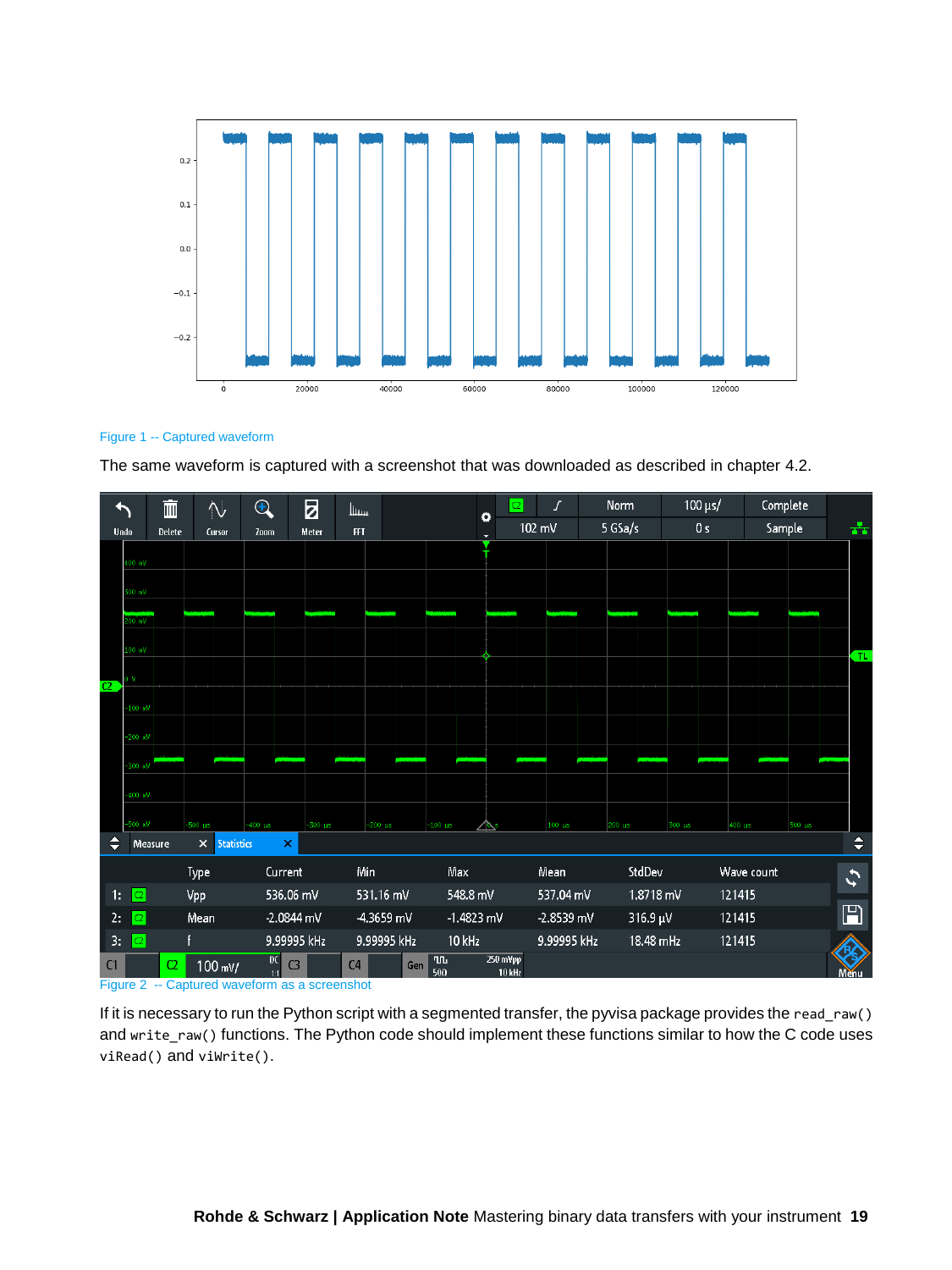

#### Figure 1 -- Captured waveform

The same waveform is captured with a screenshot that was downloaded as described in chapter [4.2.](#page-9-1)



Figure 2 -- Captured waveform as a screenshot

If it is necessary to run the Python script with a segmented transfer, the pyvisa package provides the read\_raw() and write\_raw() functions. The Python code should implement these functions similar to how the C code uses viRead() and viWrite().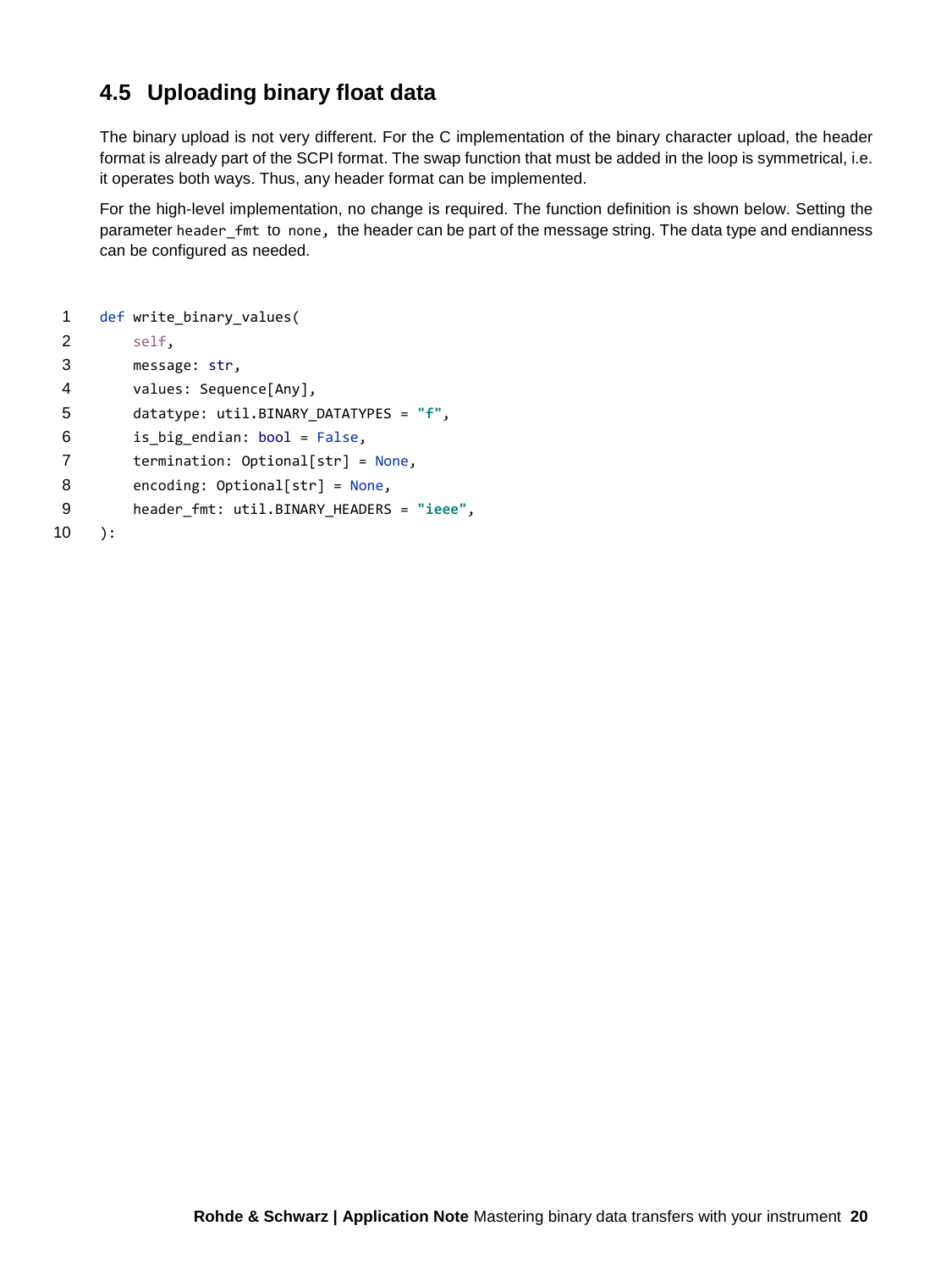#### **4.5 Uploading binary float data**

<span id="page-19-0"></span>The binary upload is not very different. For the C implementation of the binary character upload, the header format is already part of the SCPI format. The swap function that must be added in the loop is symmetrical, i.e. it operates both ways. Thus, any header format can be implemented.

For the high-level implementation, no change is required. The function definition is shown below. Setting the parameter header fmt to none, the header can be part of the message string. The data type and endianness can be configured as needed.

```
1 def write_binary_values(
2 self,
3 message: str,
4 values: Sequence[Any],
5 datatype: util.BINARY_DATATYPES = "f",
6 is_big_endian: bool = False,
7 termination: Optional[str] = None,
8 encoding: Optional[str] = None,
9 header_fmt: util.BINARY_HEADERS = "ieee",
10 ):
```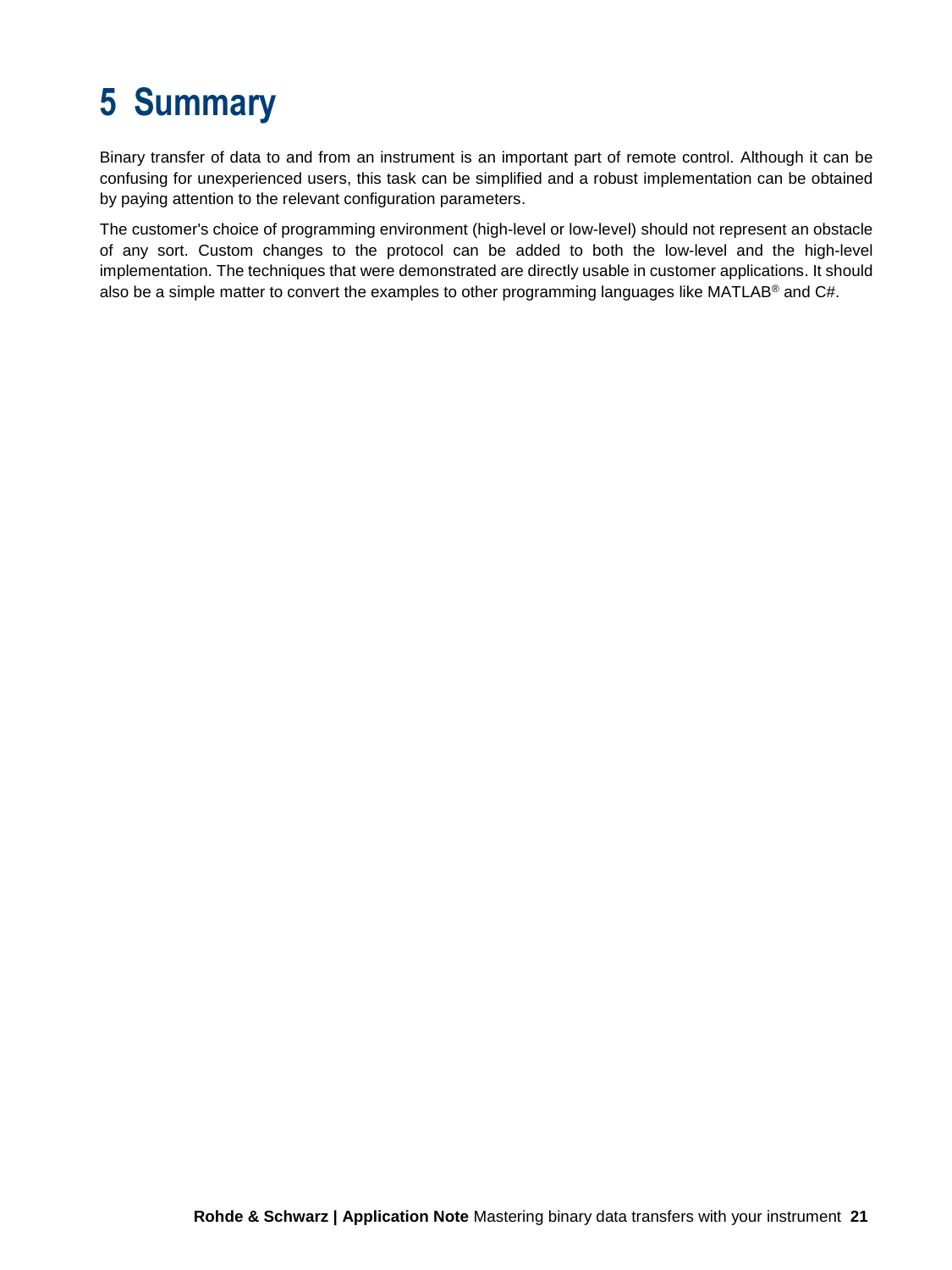## **5 Summary**

<span id="page-20-0"></span>Binary transfer of data to and from an instrument is an important part of remote control. Although it can be confusing for unexperienced users, this task can be simplified and a robust implementation can be obtained by paying attention to the relevant configuration parameters.

The customer's choice of programming environment (high-level or low-level) should not represent an obstacle of any sort. Custom changes to the protocol can be added to both the low-level and the high-level implementation. The techniques that were demonstrated are directly usable in customer applications. It should also be a simple matter to convert the examples to other programming languages like MATLAB<sup>®</sup> and C#.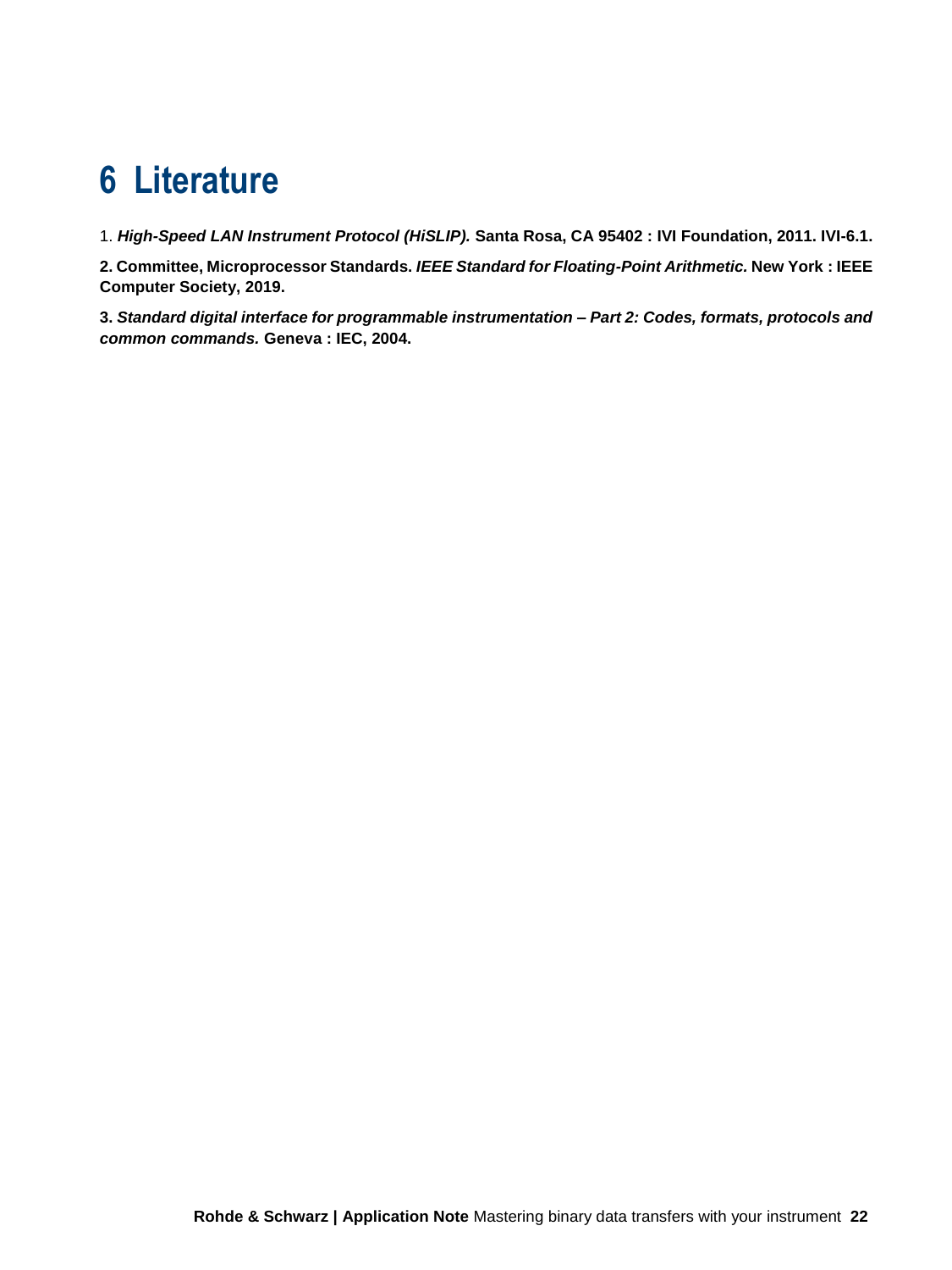### <span id="page-21-0"></span>**6 Literature**

1. *High-Speed LAN Instrument Protocol (HiSLIP).* **Santa Rosa, CA 95402 : IVI Foundation, 2011. IVI-6.1.**

**2. Committee, Microprocessor Standards.** *IEEE Standard for Floating-Point Arithmetic.* **New York : IEEE Computer Society, 2019.**

**3.** *Standard digital interface for programmable instrumentation – Part 2: Codes, formats, protocols and common commands.* **Geneva : IEC, 2004.**